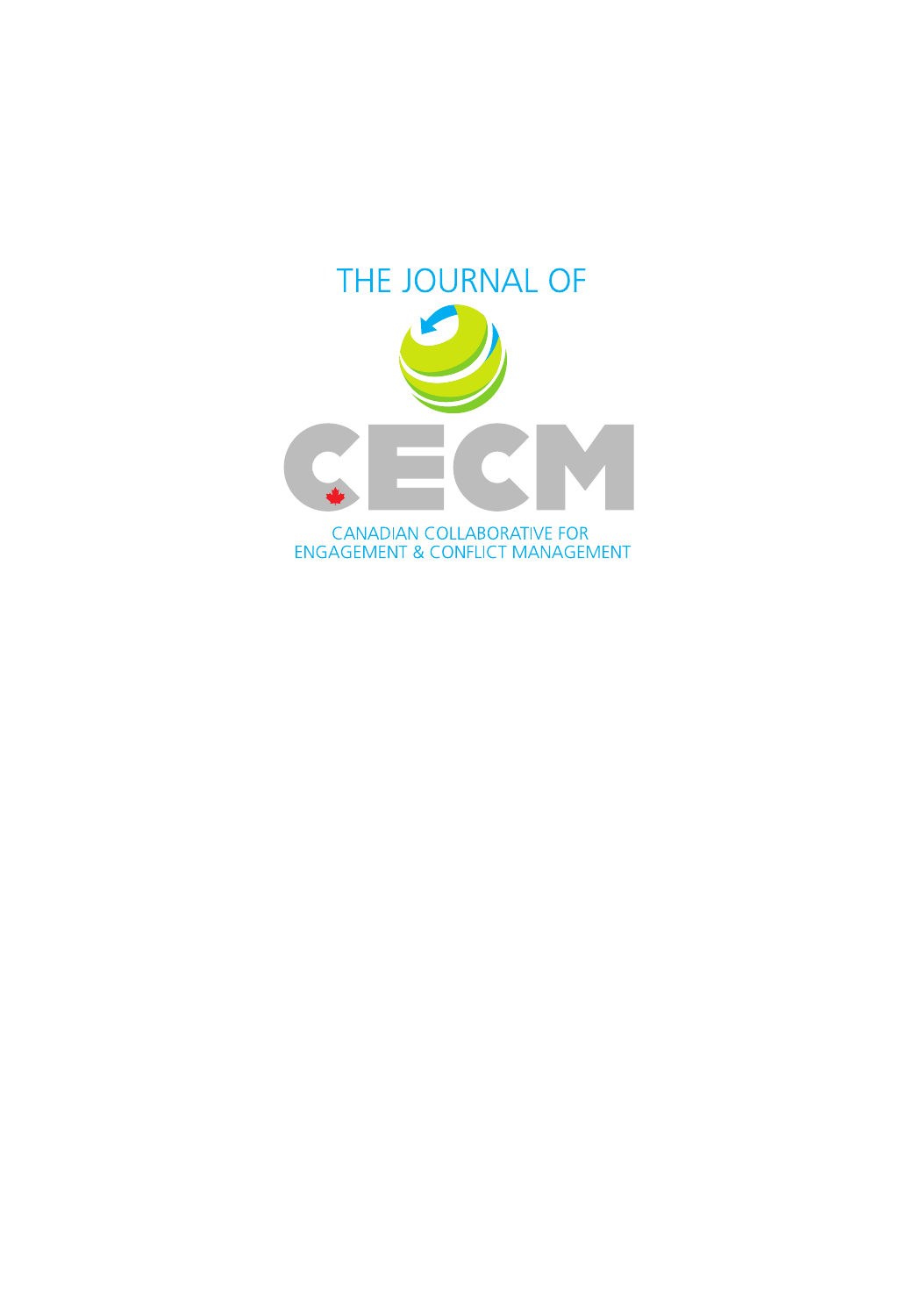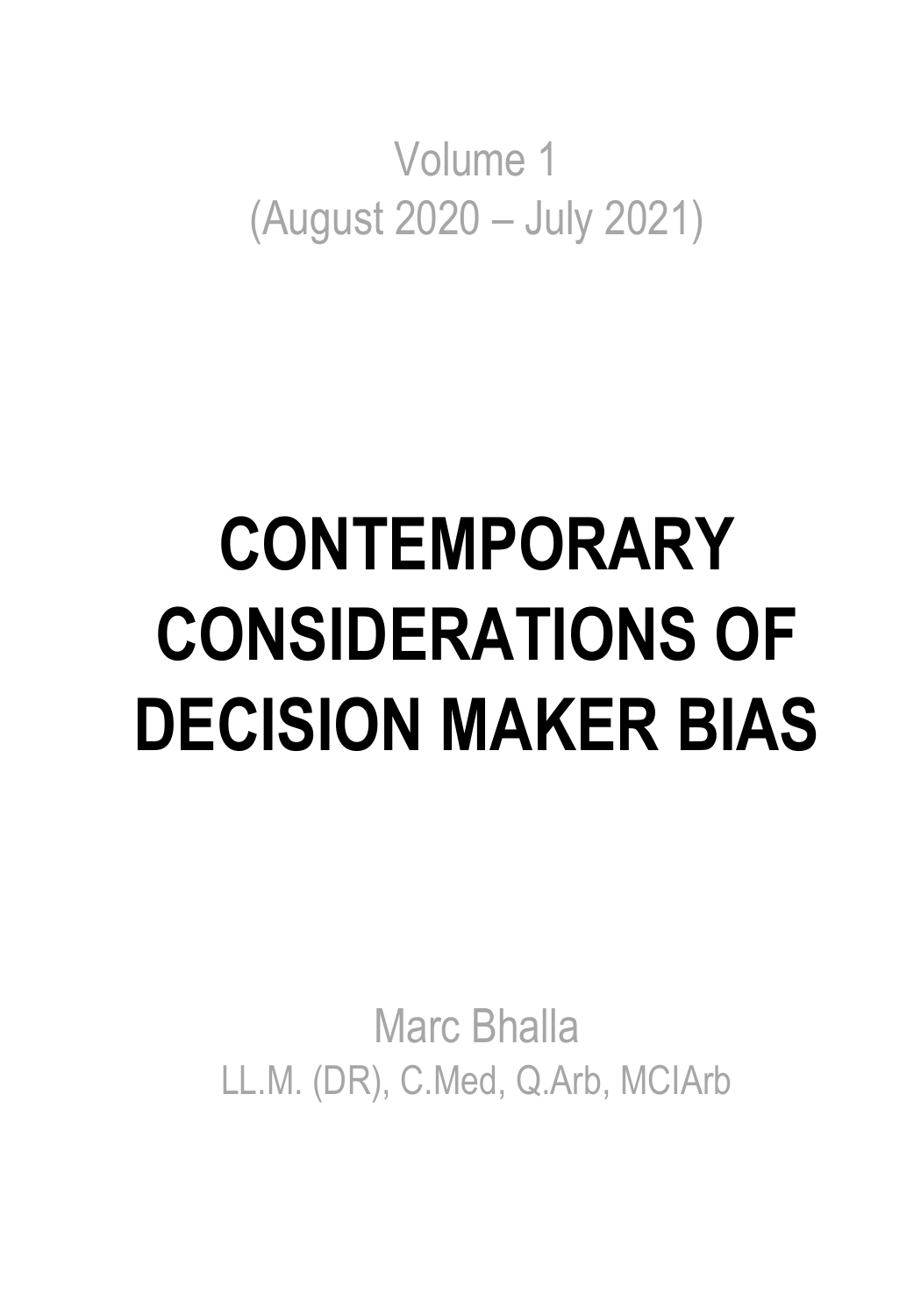Volume 1 (August 2020 – July 2021)

# **CONTEMPORARY CONSIDERATIONS OF DECISION MAKER BIAS**

Marc Bhalla LL.M. (DR), C.Med, Q.Arb, MCIArb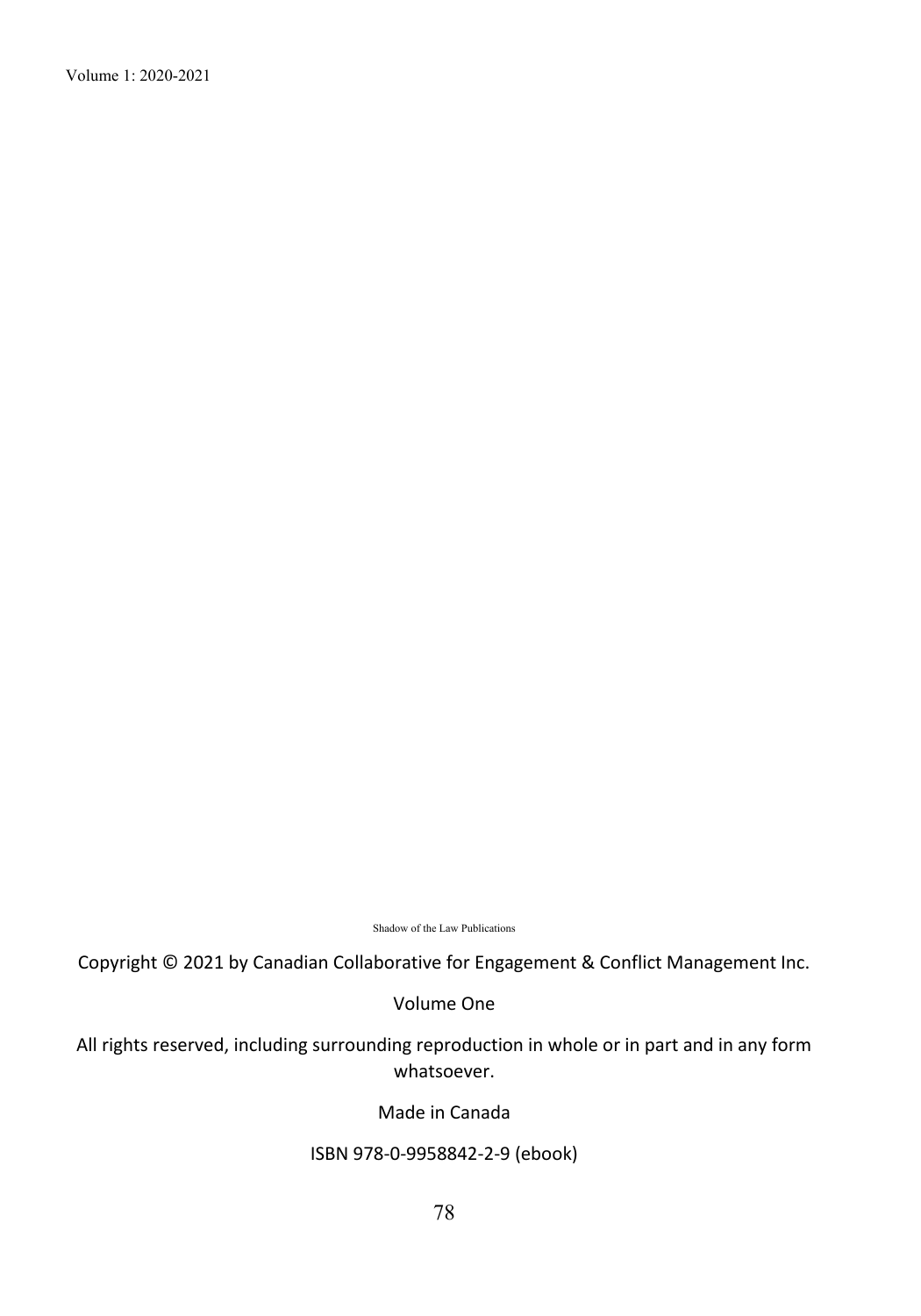Volume 1: 2020-2021

Shadow of the Law Publications

Copyright © 2021 by Canadian Collaborative for Engagement & Conflict Management Inc.

Volume One

All rights reserved, including surrounding reproduction in whole or in part and in any form whatsoever.

Made in Canada

#### ISBN 978-0-9958842-2-9 (ebook)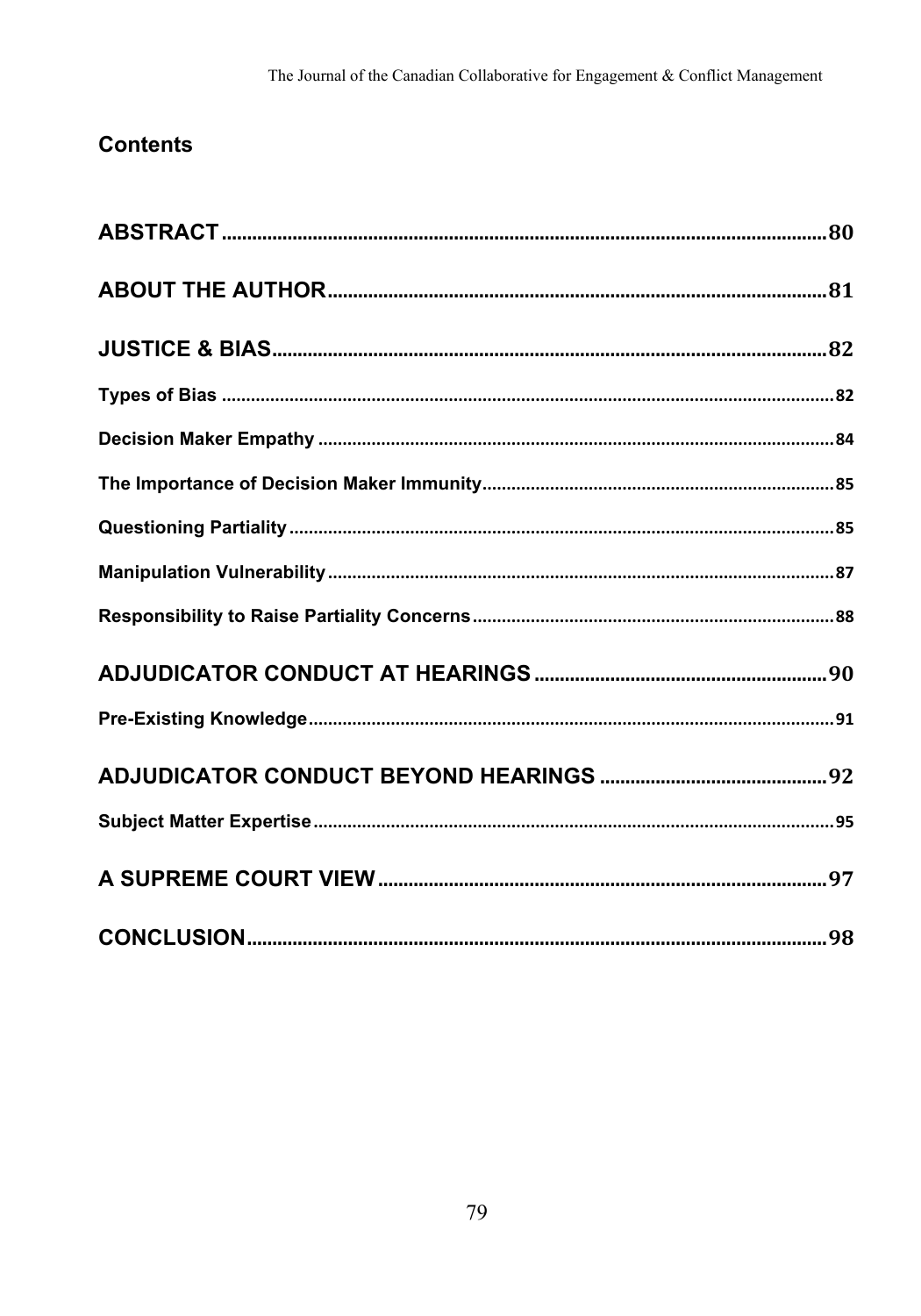## **Contents**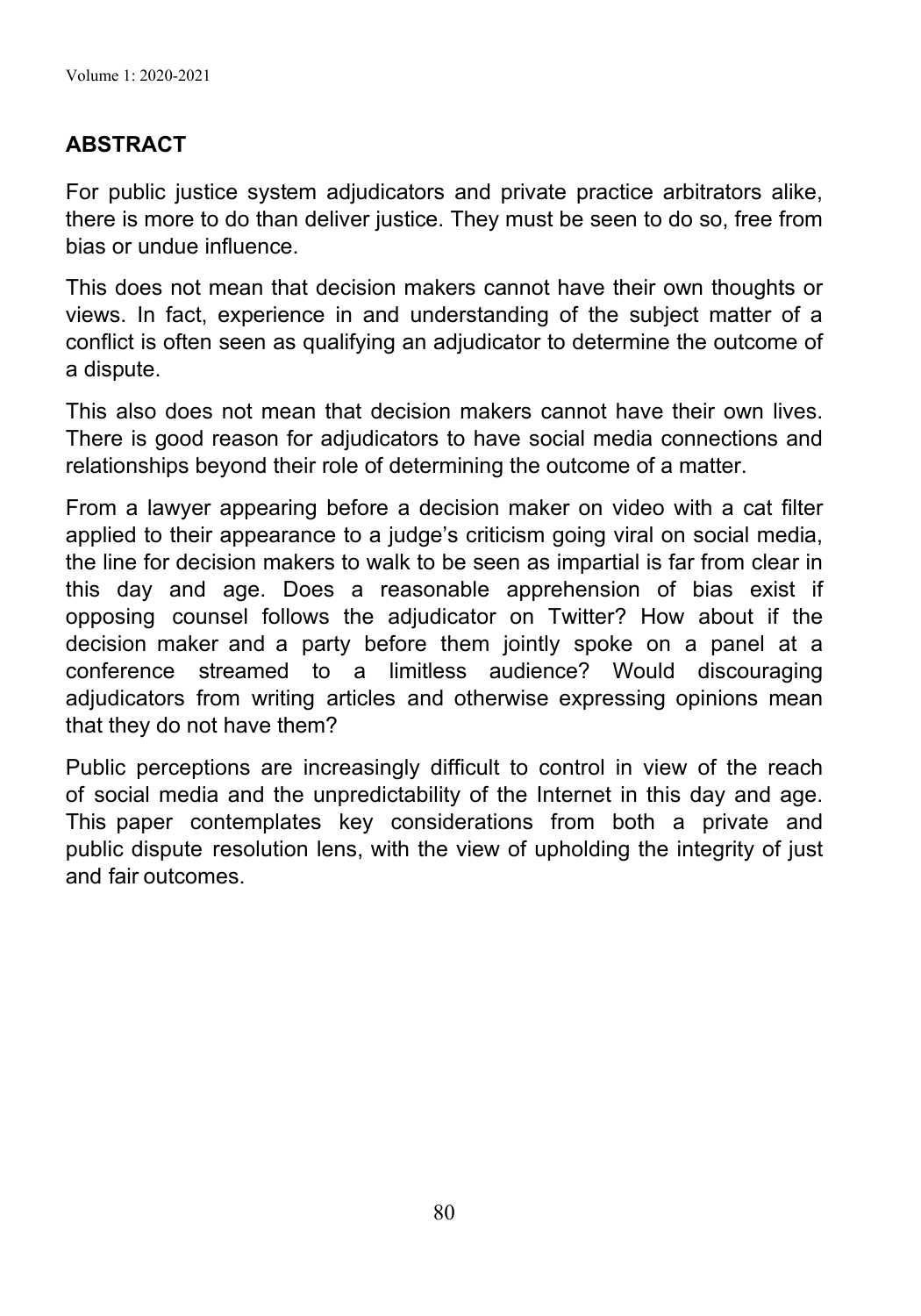## **ABSTRACT**

For public justice system adjudicators and private practice arbitrators alike, there is more to do than deliver justice. They must be seen to do so, free from bias or undue influence.

This does not mean that decision makers cannot have their own thoughts or views. In fact, experience in and understanding of the subject matter of a conflict is often seen as qualifying an adjudicator to determine the outcome of a dispute.

This also does not mean that decision makers cannot have their own lives. There is good reason for adjudicators to have social media connections and relationships beyond their role of determining the outcome of a matter.

From a lawyer appearing before a decision maker on video with a cat filter applied to their appearance to a judge's criticism going viral on social media, the line for decision makers to walk to be seen as impartial is far from clear in this day and age. Does a reasonable apprehension of bias exist if opposing counsel follows the adjudicator on Twitter? How about if the decision maker and a party before them jointly spoke on a panel at a conference streamed to a limitless audience? Would discouraging adjudicators from writing articles and otherwise expressing opinions mean that they do not have them?

Public perceptions are increasingly difficult to control in view of the reach of social media and the unpredictability of the Internet in this day and age. This paper contemplates key considerations from both a private and public dispute resolution lens, with the view of upholding the integrity of just and fair outcomes.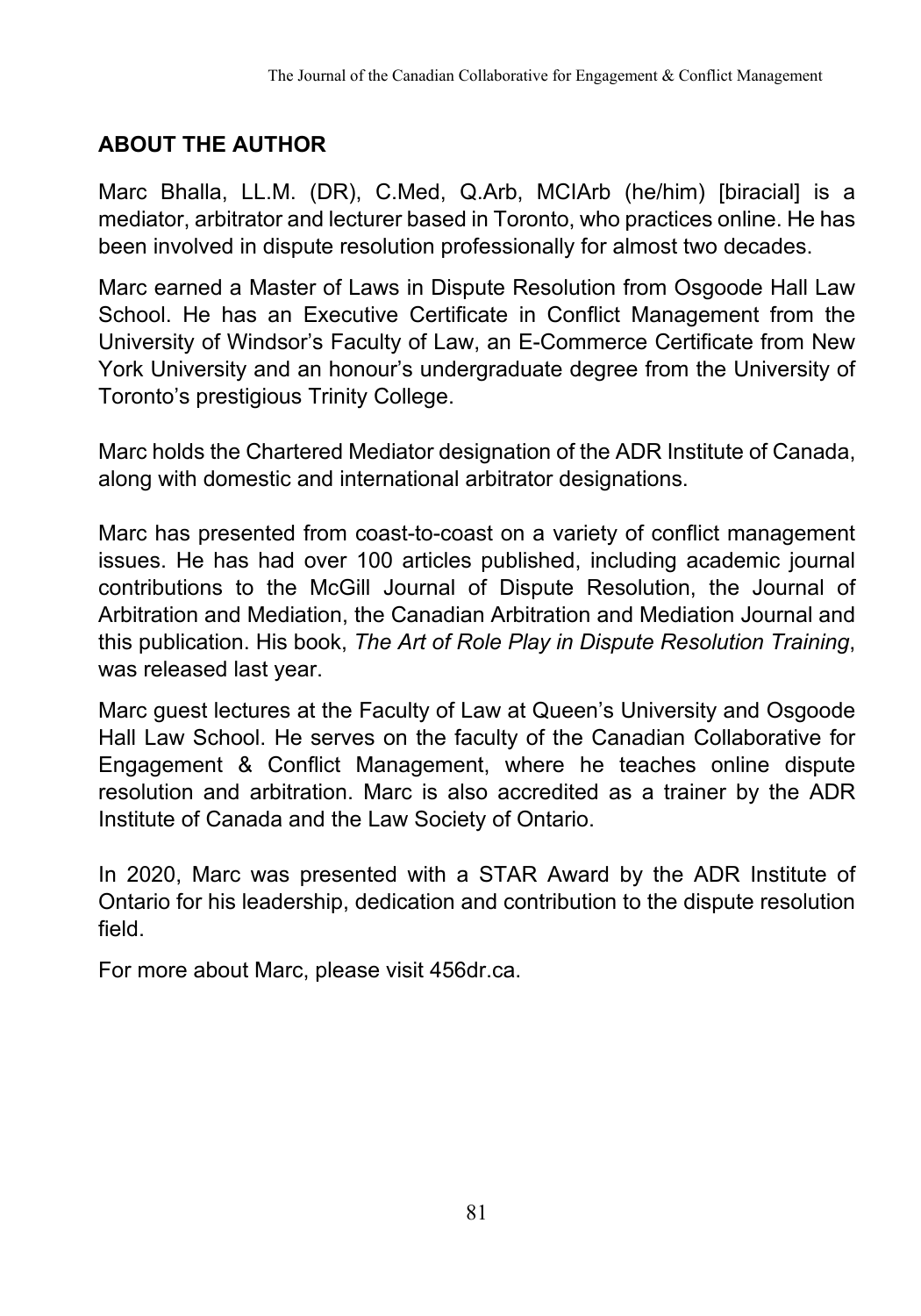# **ABOUT THE AUTHOR**

Marc Bhalla, LL.M. (DR), C.Med, Q.Arb, MCIArb (he/him) [biracial] is a mediator, arbitrator and lecturer based in Toronto, who practices online. He has been involved in dispute resolution professionally for almost two decades.

Marc earned a Master of Laws in Dispute Resolution from Osgoode Hall Law School. He has an Executive Certificate in Conflict Management from the University of Windsor's Faculty of Law, an E-Commerce Certificate from New York University and an honour's undergraduate degree from the University of Toronto's prestigious Trinity College.

Marc holds the Chartered Mediator designation of the ADR Institute of Canada, along with domestic and international arbitrator designations.

Marc has presented from coast-to-coast on a variety of conflict management issues. He has had over 100 articles published, including academic journal contributions to the McGill Journal of Dispute Resolution, the Journal of Arbitration and Mediation, the Canadian Arbitration and Mediation Journal and this publication. His book, *The Art of Role Play in Dispute Resolution Training*, was released last year.

Marc guest lectures at the Faculty of Law at Queen's University and Osgoode Hall Law School. He serves on the faculty of the Canadian Collaborative for Engagement & Conflict Management, where he teaches online dispute resolution and arbitration. Marc is also accredited as a trainer by the ADR Institute of Canada and the Law Society of Ontario.

In 2020, Marc was presented with a STAR Award by the ADR Institute of Ontario for his leadership, dedication and contribution to the dispute resolution field.

For more about Marc, please visit 456dr.ca.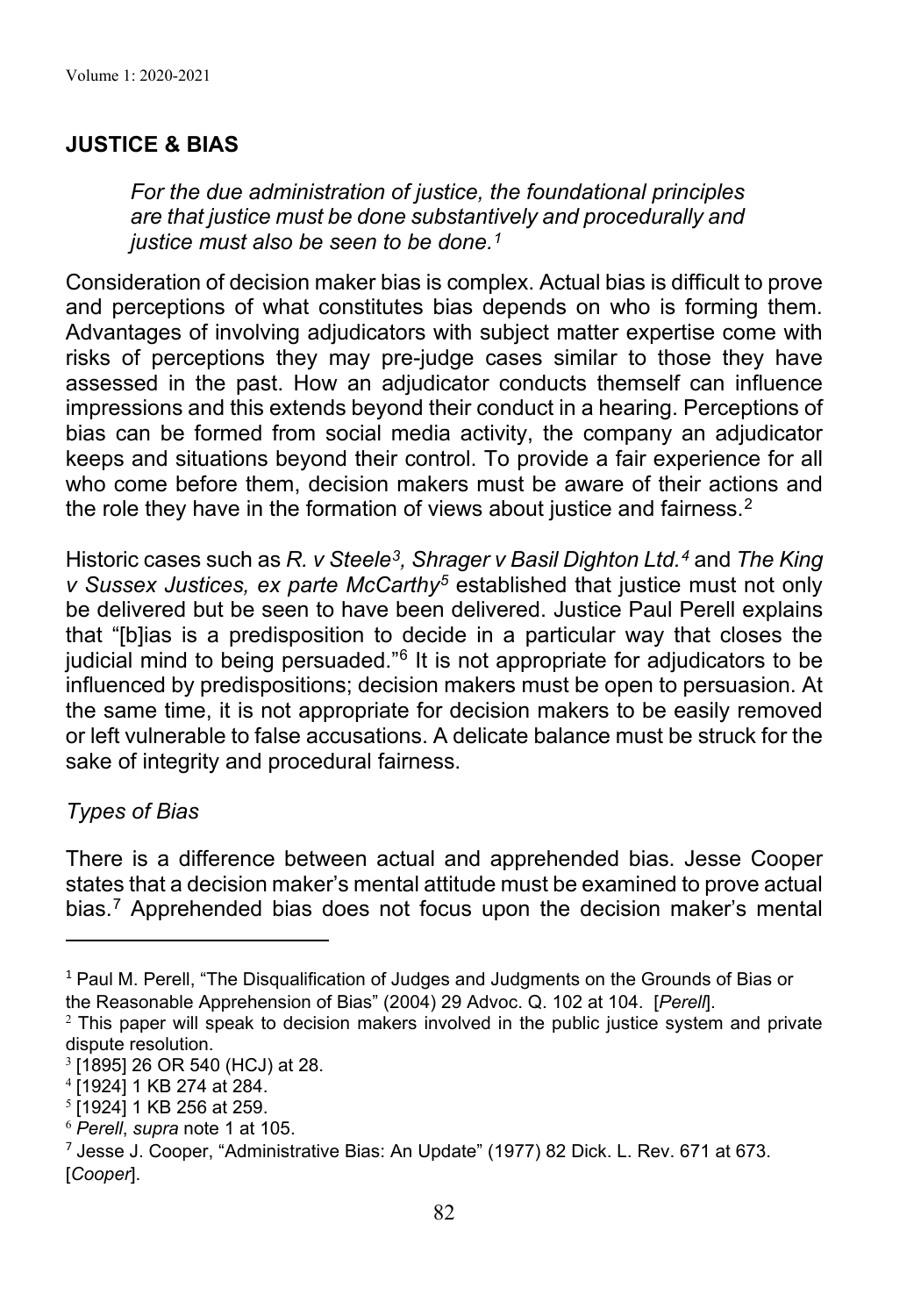## **JUSTICE & BIAS**

*For the due administration of justice, the foundational principles are that justice must be done substantively and procedurally and justice must also be seen to be done.1*

Consideration of decision maker bias is complex. Actual bias is difficult to prove and perceptions of what constitutes bias depends on who is forming them. Advantages of involving adjudicators with subject matter expertise come with risks of perceptions they may pre-judge cases similar to those they have assessed in the past. How an adjudicator conducts themself can influence impressions and this extends beyond their conduct in a hearing. Perceptions of bias can be formed from social media activity, the company an adjudicator keeps and situations beyond their control. To provide a fair experience for all who come before them, decision makers must be aware of their actions and the role they have in the formation of views about justice and fairness.<sup>2</sup>

Historic cases such as *R. v Steele3, Shrager v Basil Dighton Ltd.4* and *The King v Sussex Justices, ex parte McCarthy5* established that justice must not only be delivered but be seen to have been delivered. Justice Paul Perell explains that "[b]ias is a predisposition to decide in a particular way that closes the judicial mind to being persuaded."6 It is not appropriate for adjudicators to be influenced by predispositions; decision makers must be open to persuasion. At the same time, it is not appropriate for decision makers to be easily removed or left vulnerable to false accusations. A delicate balance must be struck for the sake of integrity and procedural fairness.

## *Types of Bias*

There is a difference between actual and apprehended bias. Jesse Cooper states that a decision maker's mental attitude must be examined to prove actual bias. <sup>7</sup> Apprehended bias does not focus upon the decision maker's mental

 $1$  Paul M. Perell, "The Disqualification of Judges and Judgments on the Grounds of Bias or the Reasonable Apprehension of Bias" (2004) 29 Advoc. Q. 102 at 104. [*Perell*].

 $2$  This paper will speak to decision makers involved in the public justice system and private dispute resolution.

<sup>3</sup> [1895] 26 OR 540 (HCJ) at 28.

<sup>4</sup> [1924] 1 KB 274 at 284.

<sup>5</sup> [1924] 1 KB 256 at 259.

<sup>6</sup> *Perell*, *supra* note 1 at 105.

 $7$  Jesse J. Cooper, "Administrative Bias: An Update" (1977) 82 Dick. L. Rev. 671 at 673. [*Cooper*].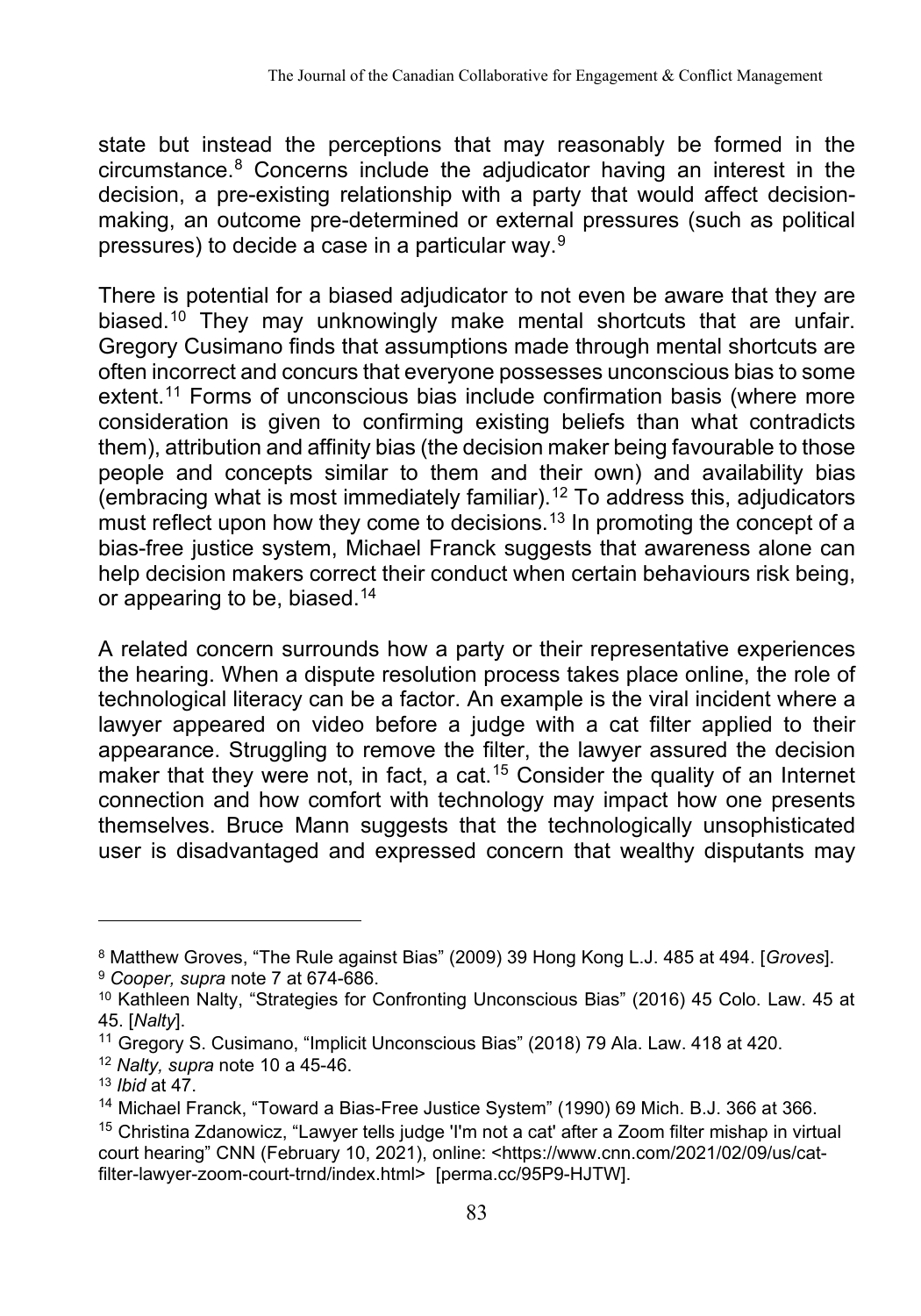state but instead the perceptions that may reasonably be formed in the circumstance.8 Concerns include the adjudicator having an interest in the decision, a pre-existing relationship with a party that would affect decisionmaking, an outcome pre-determined or external pressures (such as political pressures) to decide a case in a particular way.9

There is potential for a biased adjudicator to not even be aware that they are biased.<sup>10</sup> They may unknowingly make mental shortcuts that are unfair. Gregory Cusimano finds that assumptions made through mental shortcuts are often incorrect and concurs that everyone possesses unconscious bias to some extent.<sup>11</sup> Forms of unconscious bias include confirmation basis (where more consideration is given to confirming existing beliefs than what contradicts them), attribution and affinity bias (the decision maker being favourable to those people and concepts similar to them and their own) and availability bias (embracing what is most immediately familiar).<sup>12</sup> To address this, adjudicators must reflect upon how they come to decisions. $^{13}$  In promoting the concept of a bias-free justice system, Michael Franck suggests that awareness alone can help decision makers correct their conduct when certain behaviours risk being, or appearing to be, biased.14

A related concern surrounds how a party or their representative experiences the hearing. When a dispute resolution process takes place online, the role of technological literacy can be a factor. An example is the viral incident where a lawyer appeared on video before a judge with a cat filter applied to their appearance. Struggling to remove the filter, the lawyer assured the decision maker that they were not, in fact, a cat. <sup>15</sup> Consider the quality of an Internet connection and how comfort with technology may impact how one presents themselves. Bruce Mann suggests that the technologically unsophisticated user is disadvantaged and expressed concern that wealthy disputants may

<sup>&</sup>lt;sup>8</sup> Matthew Groves, "The Rule against Bias" (2009) 39 Hong Kong L.J. 485 at 494. [*Groves*].<br><sup>9</sup> *Cooper, supra* note 7 at 674-686.

<sup>10</sup> Kathleen Nalty, "Strategies for Confronting Unconscious Bias" (2016) 45 Colo. Law. 45 at 45. [*Nalty*].

<sup>&</sup>lt;sup>11</sup> Gregory S. Cusimano, "Implicit Unconscious Bias" (2018) 79 Ala. Law. 418 at 420.

<sup>12</sup> *Nalty, supra* note 10 a 45-46.

<sup>13</sup> *Ibid* at 47.

<sup>&</sup>lt;sup>14</sup> Michael Franck, "Toward a Bias-Free Justice System" (1990) 69 Mich. B.J. 366 at 366.

<sup>15</sup> Christina Zdanowicz, "Lawyer tells judge 'I'm not a cat' after a Zoom filter mishap in virtual court hearing" CNN (February 10, 2021), online: <https://www.cnn.com/2021/02/09/us/catfilter-lawyer-zoom-court-trnd/index.html> [perma.cc/95P9-HJTW].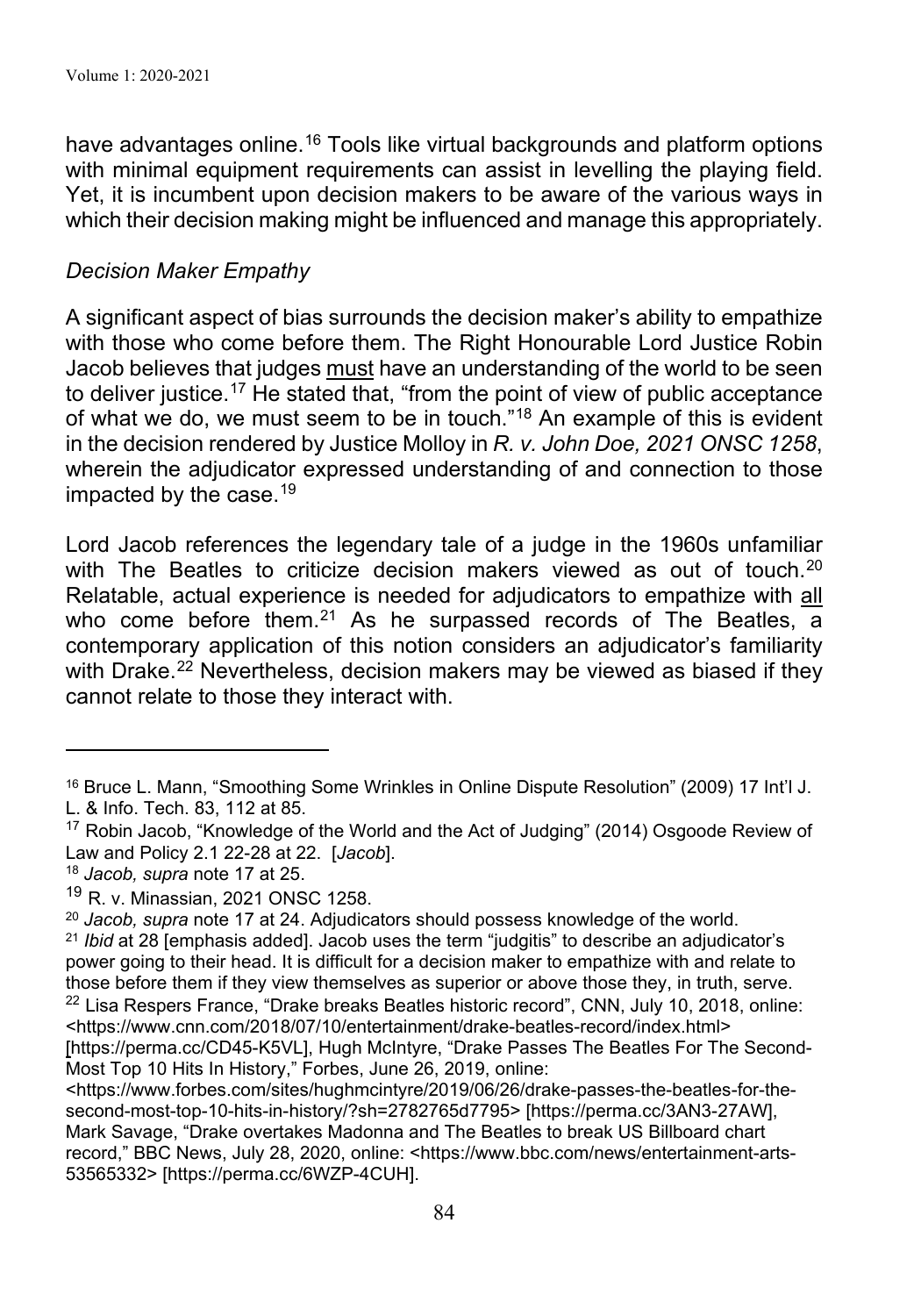have advantages online.<sup>16</sup> Tools like virtual backgrounds and platform options with minimal equipment requirements can assist in levelling the playing field. Yet, it is incumbent upon decision makers to be aware of the various ways in which their decision making might be influenced and manage this appropriately.

#### *Decision Maker Empathy*

A significant aspect of bias surrounds the decision maker's ability to empathize with those who come before them. The Right Honourable Lord Justice Robin Jacob believes that judges must have an understanding of the world to be seen to deliver justice.<sup>17</sup> He stated that, "from the point of view of public acceptance of what we do, we must seem to be in touch."18 An example of this is evident in the decision rendered by Justice Molloy in *R. v. John Doe, 2021 ONSC 1258*, wherein the adjudicator expressed understanding of and connection to those impacted by the case. 19

Lord Jacob references the legendary tale of a judge in the 1960s unfamiliar with The Beatles to criticize decision makers viewed as out of touch. $^{20}$ Relatable, actual experience is needed for adjudicators to empathize with all who come before them.<sup>21</sup> As he surpassed records of The Beatles, a contemporary application of this notion considers an adjudicator's familiarity with Drake. <sup>22</sup> Nevertheless, decision makers may be viewed as biased if they cannot relate to those they interact with.

<sup>16</sup> Bruce L. Mann, "Smoothing Some Wrinkles in Online Dispute Resolution" (2009) 17 Int'l J. L. & Info. Tech. 83, 112 at 85.

<sup>&</sup>lt;sup>17</sup> Robin Jacob, "Knowledge of the World and the Act of Judging" (2014) Osgoode Review of Law and Policy 2.1 22-28 at 22. [*Jacob*].

<sup>18</sup> *Jacob, supra* note 17 at 25.

<sup>19</sup> R. v. Minassian, 2021 ONSC 1258.

<sup>20</sup> *Jacob, supra* note 17 at 24. Adjudicators should possess knowledge of the world.

<sup>21</sup> *Ibid* at 28 [emphasis added]. Jacob uses the term "judgitis" to describe an adjudicator's power going to their head. It is difficult for a decision maker to empathize with and relate to those before them if they view themselves as superior or above those they, in truth, serve.  $22$  Lisa Respers France, "Drake breaks Beatles historic record", CNN, July 10, 2018, online: <https://www.cnn.com/2018/07/10/entertainment/drake-beatles-record/index.html> [https://perma.cc/CD45-K5VL], Hugh McIntyre, "Drake Passes The Beatles For The Second-Most Top 10 Hits In History," Forbes, June 26, 2019, online:

<sup>&</sup>lt;https://www.forbes.com/sites/hughmcintyre/2019/06/26/drake-passes-the-beatles-for-thesecond-most-top-10-hits-in-history/?sh=2782765d7795> [https://perma.cc/3AN3-27AW], Mark Savage, "Drake overtakes Madonna and The Beatles to break US Billboard chart record," BBC News, July 28, 2020, online: <https://www.bbc.com/news/entertainment-arts-53565332> [https://perma.cc/6WZP-4CUH].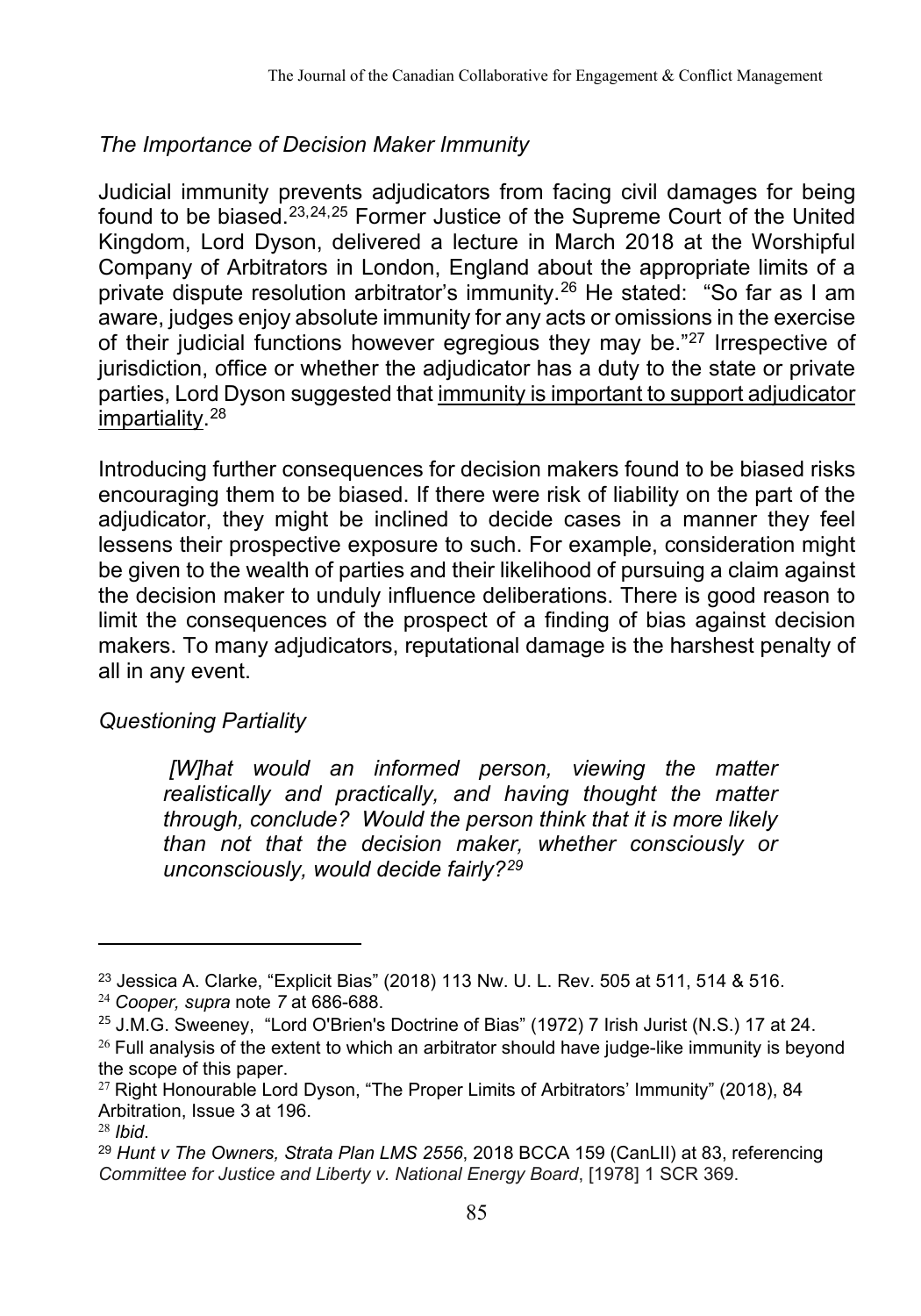## *The Importance of Decision Maker Immunity*

Judicial immunity prevents adjudicators from facing civil damages for being found to be biased.23,24,25 Former Justice of the Supreme Court of the United Kingdom, Lord Dyson, delivered a lecture in March 2018 at the Worshipful Company of Arbitrators in London, England about the appropriate limits of a private dispute resolution arbitrator's immunity.26 He stated: "So far as I am aware, judges enjoy absolute immunity for any acts or omissions in the exercise of their judicial functions however egregious they may be."27 Irrespective of jurisdiction, office or whether the adjudicator has a duty to the state or private parties, Lord Dyson suggested that immunity is important to support adjudicator impartiality. 28

Introducing further consequences for decision makers found to be biased risks encouraging them to be biased. If there were risk of liability on the part of the adjudicator, they might be inclined to decide cases in a manner they feel lessens their prospective exposure to such. For example, consideration might be given to the wealth of parties and their likelihood of pursuing a claim against the decision maker to unduly influence deliberations. There is good reason to limit the consequences of the prospect of a finding of bias against decision makers. To many adjudicators, reputational damage is the harshest penalty of all in any event.

## *Questioning Partiality*

*[W]hat would an informed person, viewing the matter realistically and practically, and having thought the matter through, conclude? Would the person think that it is more likely than not that the decision maker, whether consciously or unconsciously, would decide fairly?29*

 $^{23}$  Jessica A. Clarke, "Explicit Bias" (2018) 113 Nw. U. L. Rev. 505 at 511, 514 & 516.

<sup>24</sup> *Cooper, supra* note *7* at 686-688.

 $25$  J.M.G. Sweeney, "Lord O'Brien's Doctrine of Bias" (1972) 7 Irish Jurist (N.S.) 17 at 24.  $26$  Full analysis of the extent to which an arbitrator should have judge-like immunity is beyond the scope of this paper.

<sup>&</sup>lt;sup>27</sup> Right Honourable Lord Dyson, "The Proper Limits of Arbitrators' Immunity" (2018), 84 Arbitration, Issue 3 at 196.

<sup>28</sup> *Ibid*.

<sup>29</sup> *Hunt v The Owners, Strata Plan LMS 2556*, 2018 BCCA 159 (CanLII) at 83, referencing *Committee for Justice and Liberty v. National Energy Board*, [1978] 1 SCR 369.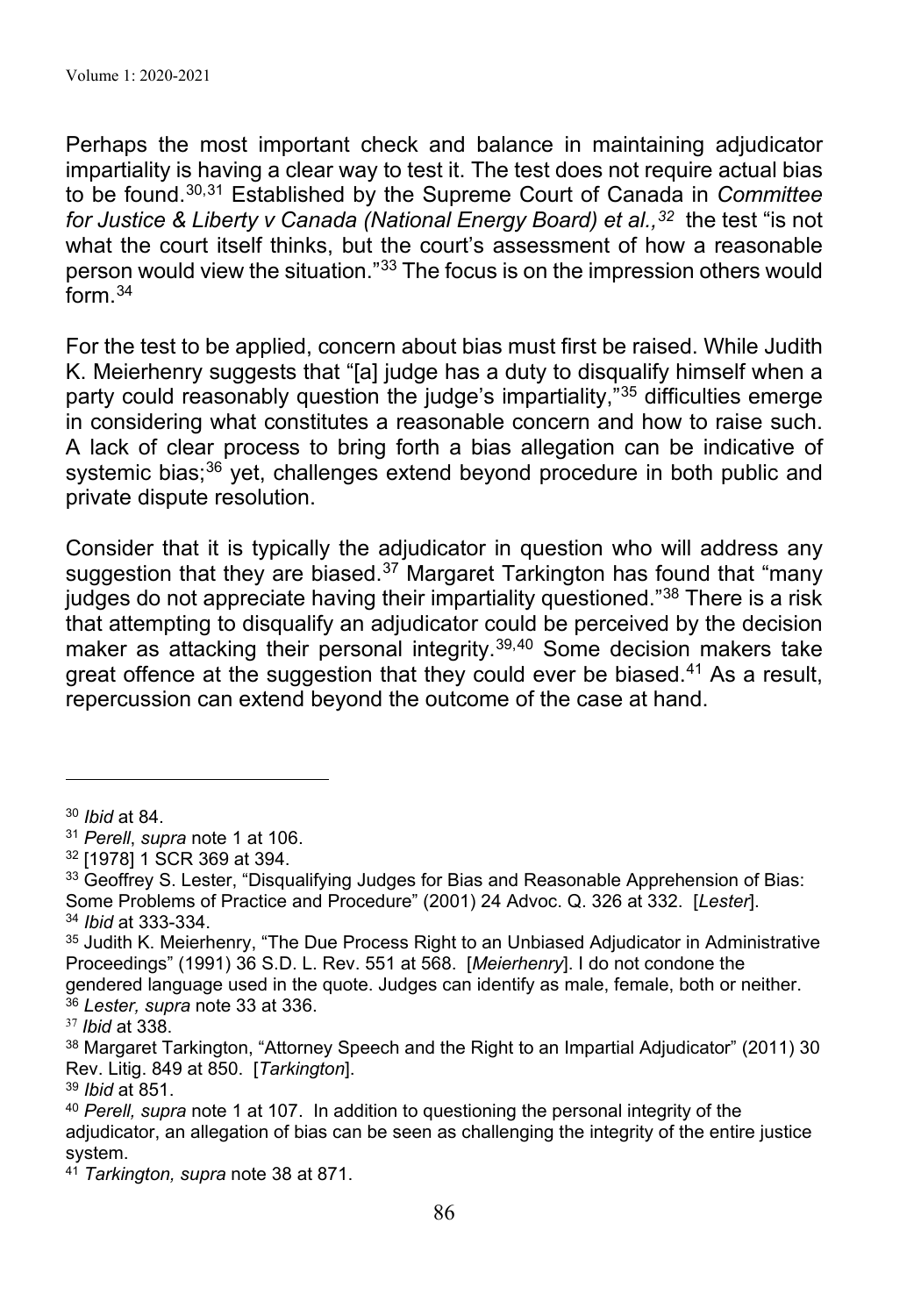Perhaps the most important check and balance in maintaining adjudicator impartiality is having a clear way to test it. The test does not require actual bias to be found. 30,31 Established by the Supreme Court of Canada in *Committee for Justice & Liberty v Canada (National Energy Board) et al.,<sup>32</sup> the test "is not* what the court itself thinks, but the court's assessment of how a reasonable person would view the situation."33 The focus is on the impression others would form.34

For the test to be applied, concern about bias must first be raised. While Judith K. Meierhenry suggests that "[a] judge has a duty to disqualify himself when a party could reasonably question the judge's impartiality,"35 difficulties emerge in considering what constitutes a reasonable concern and how to raise such. A lack of clear process to bring forth a bias allegation can be indicative of systemic bias; 36 yet, challenges extend beyond procedure in both public and private dispute resolution.

Consider that it is typically the adjudicator in question who will address any suggestion that they are biased. $37$  Margaret Tarkington has found that "many judges do not appreciate having their impartiality questioned."38 There is a risk that attempting to disqualify an adjudicator could be perceived by the decision maker as attacking their personal integrity.<sup>39,40</sup> Some decision makers take great offence at the suggestion that they could ever be biased.<sup>41</sup> As a result, repercussion can extend beyond the outcome of the case at hand.

<sup>30</sup> *Ibid* at 84.

<sup>31</sup> *Perell*, *supra* note 1 at 106.

<sup>32</sup> [1978] 1 SCR 369 at 394.

<sup>&</sup>lt;sup>33</sup> Geoffrey S. Lester, "Disqualifying Judges for Bias and Reasonable Apprehension of Bias: Some Problems of Practice and Procedure" (2001) 24 Advoc. Q. 326 at 332. [*Lester*]. <sup>34</sup> *Ibid* at 333-334.

<sup>35</sup> Judith K. Meierhenry, "The Due Process Right to an Unbiased Adjudicator in Administrative Proceedings" (1991) 36 S.D. L. Rev. 551 at 568. [*Meierhenry*]. I do not condone the gendered language used in the quote. Judges can identify as male, female, both or neither.

<sup>36</sup> *Lester, supra* note 33 at 336.

<sup>37</sup> *Ibid* at 338.

<sup>&</sup>lt;sup>38</sup> Margaret Tarkington, "Attorney Speech and the Right to an Impartial Adjudicator" (2011) 30 Rev. Litig. 849 at 850. [*Tarkington*].

<sup>39</sup> *Ibid* at 851.

<sup>40</sup> *Perell, supra* note 1 at 107. In addition to questioning the personal integrity of the adjudicator, an allegation of bias can be seen as challenging the integrity of the entire justice system.

<sup>41</sup> *Tarkington, supra* note 38 at 871.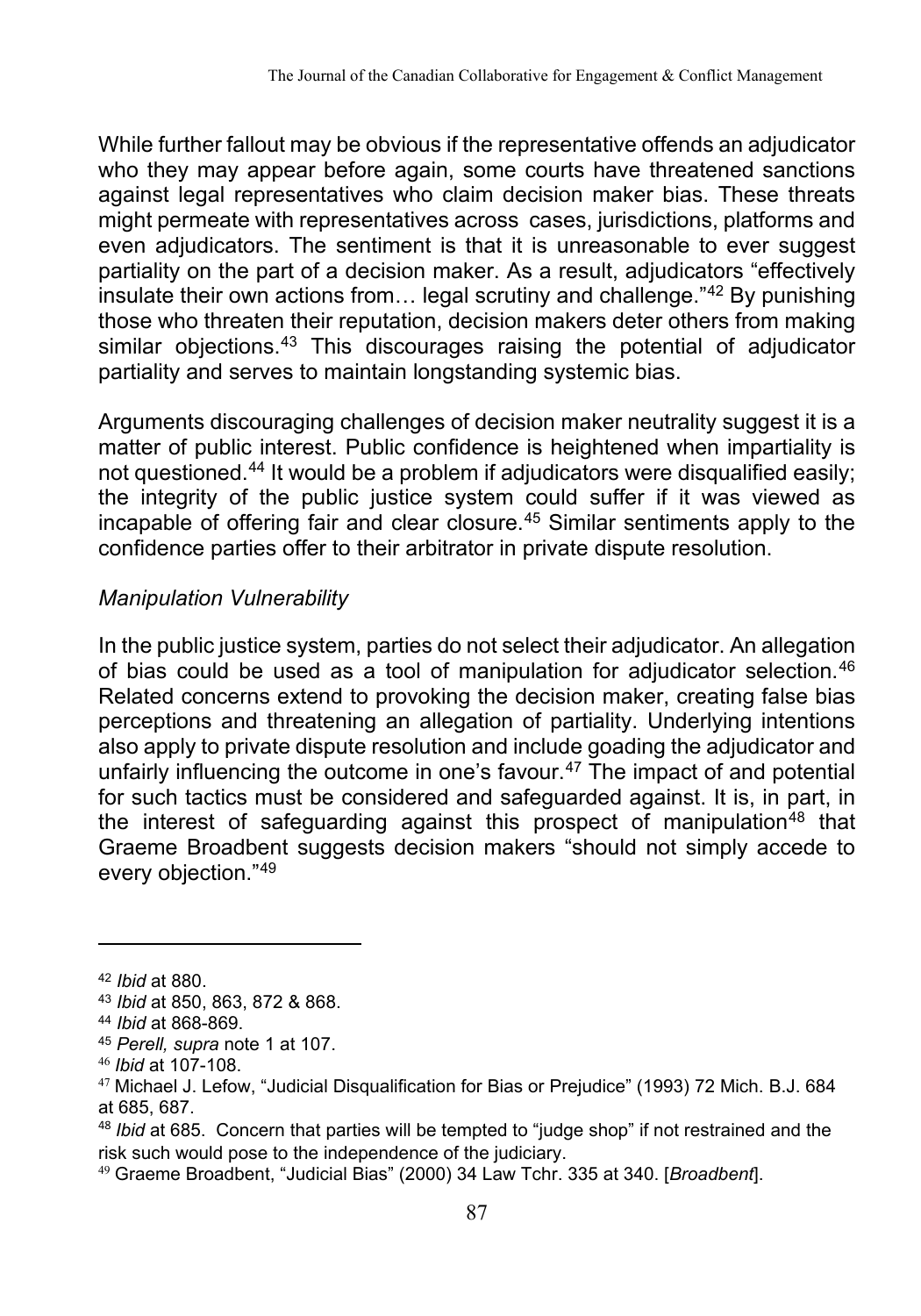While further fallout may be obvious if the representative offends an adjudicator who they may appear before again, some courts have threatened sanctions against legal representatives who claim decision maker bias. These threats might permeate with representatives across cases, jurisdictions, platforms and even adjudicators. The sentiment is that it is unreasonable to ever suggest partiality on the part of a decision maker. As a result, adjudicators "effectively insulate their own actions from… legal scrutiny and challenge."42 By punishing those who threaten their reputation, decision makers deter others from making similar objections. <sup>43</sup> This discourages raising the potential of adjudicator partiality and serves to maintain longstanding systemic bias.

Arguments discouraging challenges of decision maker neutrality suggest it is a matter of public interest. Public confidence is heightened when impartiality is not questioned.<sup>44</sup> It would be a problem if adjudicators were disqualified easily; the integrity of the public justice system could suffer if it was viewed as incapable of offering fair and clear closure.45 Similar sentiments apply to the confidence parties offer to their arbitrator in private dispute resolution.

## *Manipulation Vulnerability*

In the public justice system, parties do not select their adjudicator. An allegation of bias could be used as a tool of manipulation for adjudicator selection.46 Related concerns extend to provoking the decision maker, creating false bias perceptions and threatening an allegation of partiality. Underlying intentions also apply to private dispute resolution and include goading the adjudicator and unfairly influencing the outcome in one's favour. <sup>47</sup> The impact of and potential for such tactics must be considered and safeguarded against. It is, in part, in the interest of safeguarding against this prospect of manipulation<sup>48</sup> that Graeme Broadbent suggests decision makers "should not simply accede to every objection."49

<sup>48</sup> *Ibid* at 685. Concern that parties will be tempted to "judge shop" if not restrained and the risk such would pose to the independence of the judiciary.

<sup>42</sup> *Ibid* at 880.

<sup>43</sup> *Ibid* at 850, 863, 872 & 868.

<sup>44</sup> *Ibid* at 868-869.

<sup>45</sup> *Perell, supra* note 1 at 107.

<sup>46</sup> *Ibid* at 107-108.

 $47$  Michael J. Lefow, "Judicial Disqualification for Bias or Prejudice" (1993) 72 Mich. B.J. 684 at 685, 687.

<sup>49</sup> Graeme Broadbent, "Judicial Bias" (2000) 34 Law Tchr. 335 at 340. [*Broadbent*].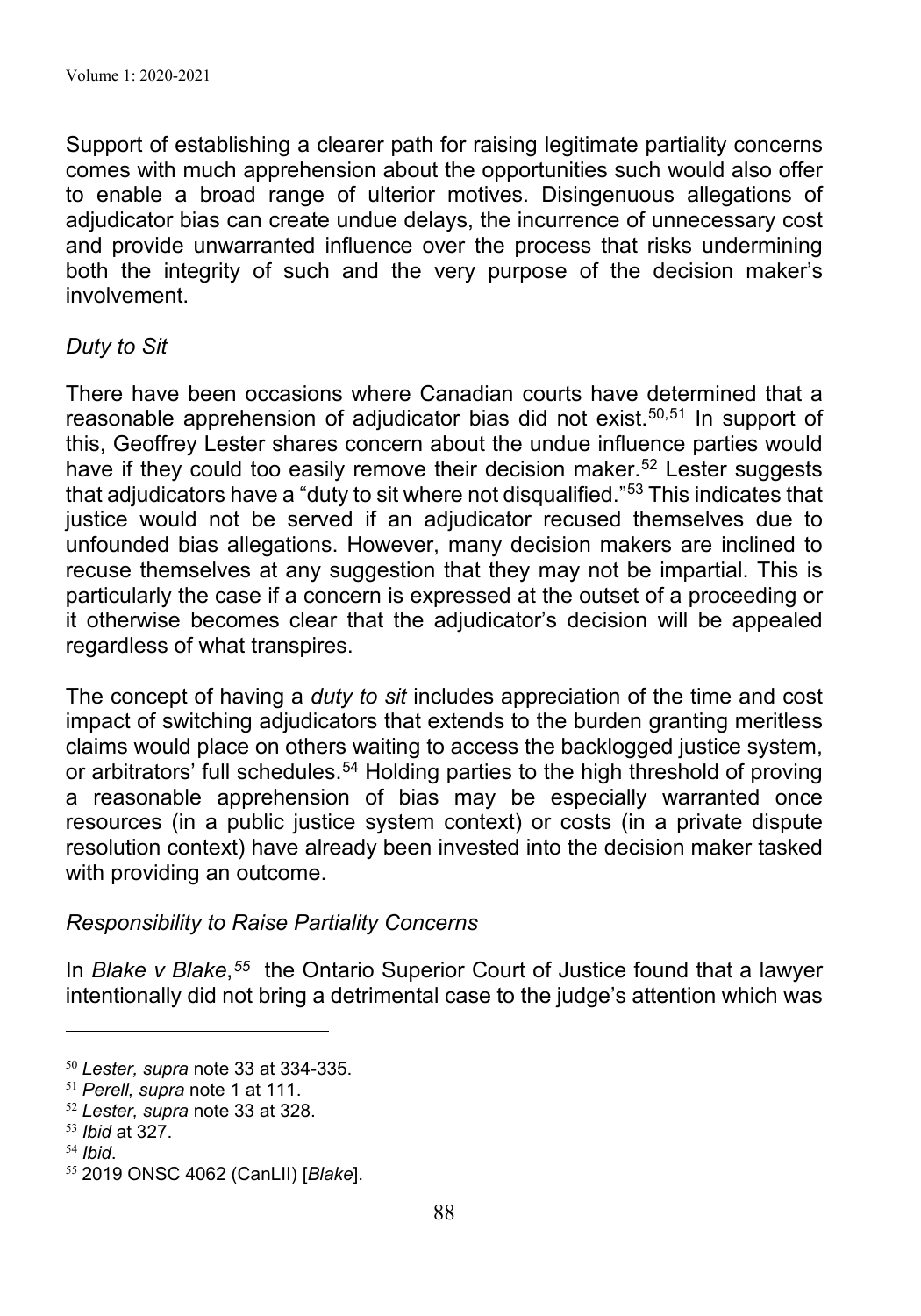Support of establishing a clearer path for raising legitimate partiality concerns comes with much apprehension about the opportunities such would also offer to enable a broad range of ulterior motives. Disingenuous allegations of adjudicator bias can create undue delays, the incurrence of unnecessary cost and provide unwarranted influence over the process that risks undermining both the integrity of such and the very purpose of the decision maker's involvement.

#### *Duty to Sit*

There have been occasions where Canadian courts have determined that a reasonable apprehension of adjudicator bias did not exist.<sup>50,51</sup> In support of this, Geoffrey Lester shares concern about the undue influence parties would have if they could too easily remove their decision maker. <sup>52</sup> Lester suggests that adjudicators have a "duty to sit where not disqualified."53 This indicates that justice would not be served if an adjudicator recused themselves due to unfounded bias allegations. However, many decision makers are inclined to recuse themselves at any suggestion that they may not be impartial. This is particularly the case if a concern is expressed at the outset of a proceeding or it otherwise becomes clear that the adjudicator's decision will be appealed regardless of what transpires.

The concept of having a *duty to sit* includes appreciation of the time and cost impact of switching adjudicators that extends to the burden granting meritless claims would place on others waiting to access the backlogged justice system, or arbitrators' full schedules.<sup>54</sup> Holding parties to the high threshold of proving a reasonable apprehension of bias may be especially warranted once resources (in a public justice system context) or costs (in a private dispute resolution context) have already been invested into the decision maker tasked with providing an outcome.

#### *Responsibility to Raise Partiality Concerns*

In *Blake v Blake*,*55* the Ontario Superior Court of Justice found that a lawyer intentionally did not bring a detrimental case to the judge's attention which was

<sup>50</sup> *Lester, supra* note 33 at 334-335.

<sup>51</sup> *Perell, supra* note 1 at 111.

<sup>52</sup> *Lester, supra* note 33 at 328.

<sup>53</sup> *Ibid* at 327.

<sup>54</sup> *Ibid*.

<sup>55</sup> 2019 ONSC 4062 (CanLII) [*Blake*].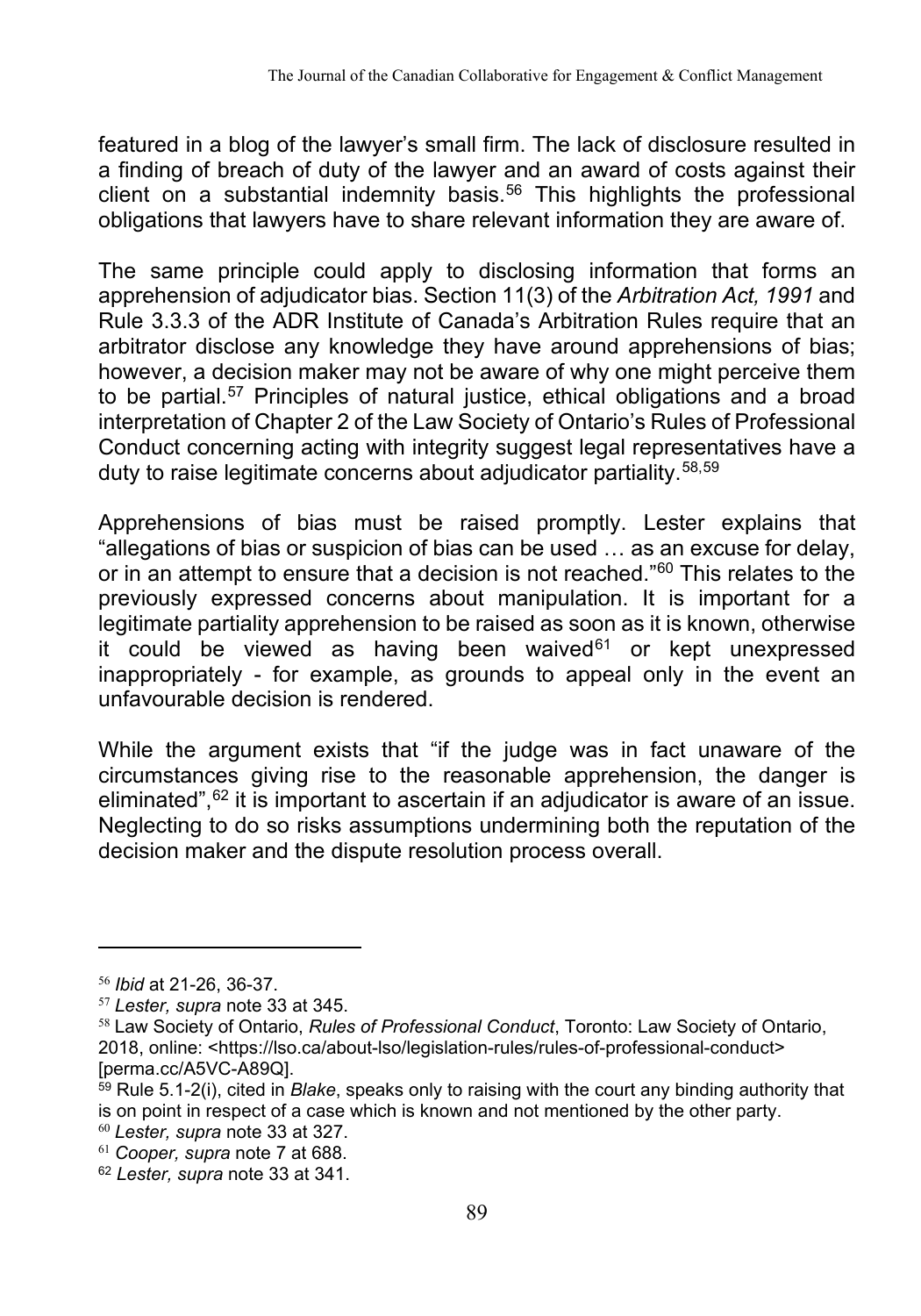featured in a blog of the lawyer's small firm. The lack of disclosure resulted in a finding of breach of duty of the lawyer and an award of costs against their client on a substantial indemnity basis.56 This highlights the professional obligations that lawyers have to share relevant information they are aware of.

The same principle could apply to disclosing information that forms an apprehension of adjudicator bias. Section 11(3) of the *Arbitration Act, 1991* and Rule 3.3.3 of the ADR Institute of Canada's Arbitration Rules require that an arbitrator disclose any knowledge they have around apprehensions of bias; however, a decision maker may not be aware of why one might perceive them to be partial. 57 Principles of natural justice, ethical obligations and a broad interpretation of Chapter 2 of the Law Society of Ontario's Rules of Professional Conduct concerning acting with integrity suggest legal representatives have a duty to raise legitimate concerns about adjudicator partiality.58,59

Apprehensions of bias must be raised promptly. Lester explains that "allegations of bias or suspicion of bias can be used … as an excuse for delay, or in an attempt to ensure that a decision is not reached."<sup>60</sup> This relates to the previously expressed concerns about manipulation. It is important for a legitimate partiality apprehension to be raised as soon as it is known, otherwise it could be viewed as having been waived $61$  or kept unexpressed inappropriately - for example, as grounds to appeal only in the event an unfavourable decision is rendered.

While the argument exists that "if the judge was in fact unaware of the circumstances giving rise to the reasonable apprehension, the danger is eliminated", $62$  it is important to ascertain if an adjudicator is aware of an issue. Neglecting to do so risks assumptions undermining both the reputation of the decision maker and the dispute resolution process overall.

<sup>56</sup> *Ibid* at 21-26, 36-37.

<sup>57</sup> *Lester, supra* note 33 at 345.

<sup>58</sup> Law Society of Ontario, *Rules of Professional Conduct*, Toronto: Law Society of Ontario, 2018, online: <https://lso.ca/about-lso/legislation-rules/rules-of-professional-conduct> [perma.cc/A5VC-A89Q].

<sup>59</sup> Rule 5.1-2(i), cited in *Blake*, speaks only to raising with the court any binding authority that is on point in respect of a case which is known and not mentioned by the other party.

<sup>60</sup> *Lester, supra* note 33 at 327.

<sup>61</sup> *Cooper, supra* note 7 at 688.

<sup>62</sup> *Lester, supra* note 33 at 341.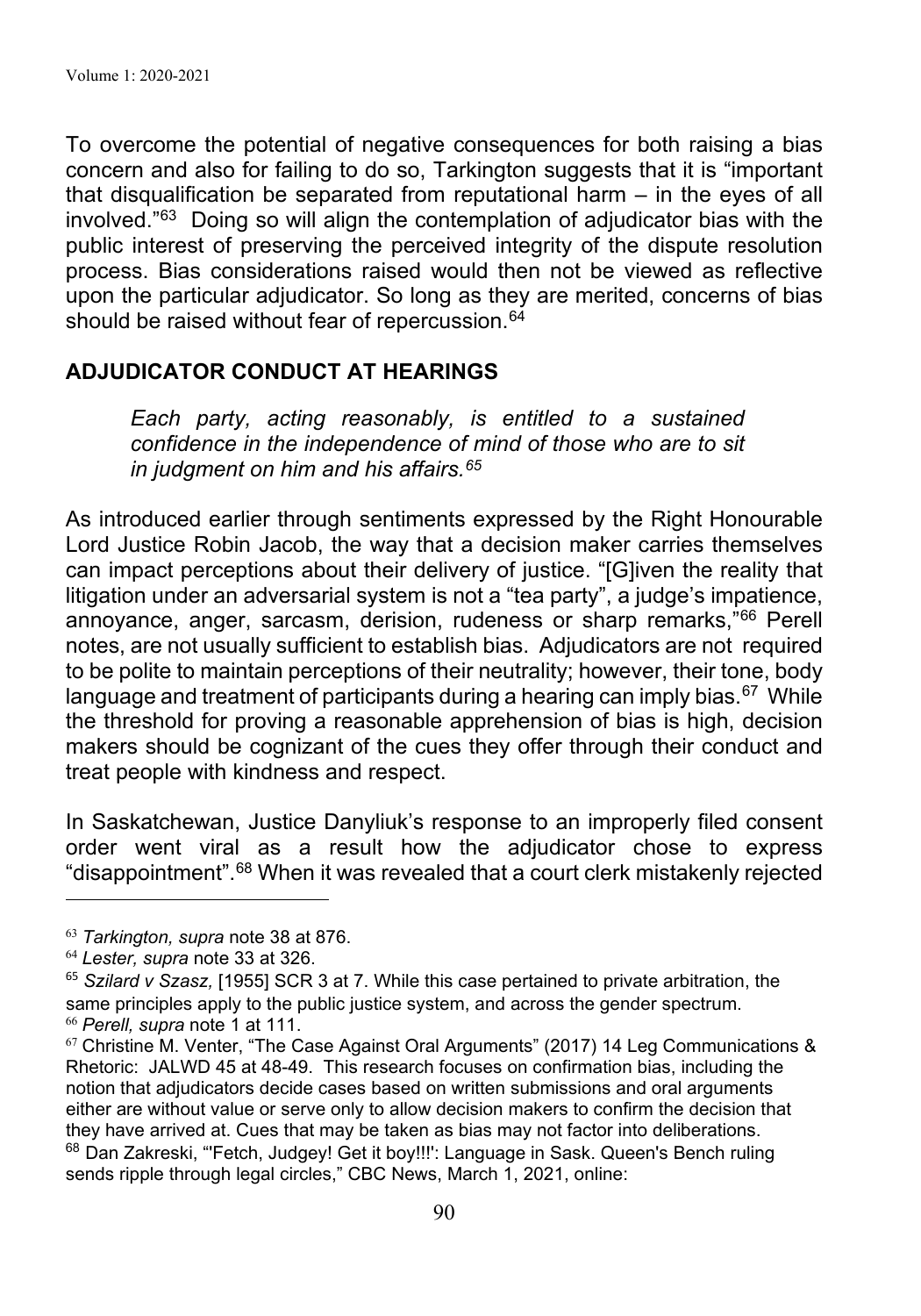To overcome the potential of negative consequences for both raising a bias concern and also for failing to do so, Tarkington suggests that it is "important that disqualification be separated from reputational harm – in the eyes of all involved."63 Doing so will align the contemplation of adjudicator bias with the public interest of preserving the perceived integrity of the dispute resolution process. Bias considerations raised would then not be viewed as reflective upon the particular adjudicator. So long as they are merited, concerns of bias should be raised without fear of repercussion.<sup>64</sup>

## **ADJUDICATOR CONDUCT AT HEARINGS**

*Each party, acting reasonably, is entitled to a sustained confidence in the independence of mind of those who are to sit in judgment on him and his affairs.65* 

As introduced earlier through sentiments expressed by the Right Honourable Lord Justice Robin Jacob, the way that a decision maker carries themselves can impact perceptions about their delivery of justice. "[G]iven the reality that litigation under an adversarial system is not a "tea party", a judge's impatience, annoyance, anger, sarcasm, derision, rudeness or sharp remarks,"66 Perell notes, are not usually sufficient to establish bias. Adjudicators are not required to be polite to maintain perceptions of their neutrality; however, their tone, body language and treatment of participants during a hearing can imply bias.  $67$  While the threshold for proving a reasonable apprehension of bias is high, decision makers should be cognizant of the cues they offer through their conduct and treat people with kindness and respect.

In Saskatchewan, Justice Danyliuk's response to an improperly filed consent order went viral as a result how the adjudicator chose to express "disappointment". <sup>68</sup> When it was revealed that a court clerk mistakenly rejected

<sup>63</sup> *Tarkington, supra* note 38 at 876.

<sup>64</sup> *Lester, supra* note 33 at 326.

<sup>65</sup> *Szilard v Szasz,* [1955] SCR 3 at 7. While this case pertained to private arbitration, the same principles apply to the public justice system, and across the gender spectrum. <sup>66</sup> *Perell, supra* note 1 at 111.

 $67$  Christine M. Venter, "The Case Against Oral Arguments" (2017) 14 Leg Communications & Rhetoric: JALWD 45 at 48-49. This research focuses on confirmation bias, including the notion that adjudicators decide cases based on written submissions and oral arguments either are without value or serve only to allow decision makers to confirm the decision that they have arrived at. Cues that may be taken as bias may not factor into deliberations. <sup>68</sup> Dan Zakreski, "'Fetch, Judgey! Get it boy!!!': Language in Sask. Queen's Bench ruling sends ripple through legal circles," CBC News, March 1, 2021, online: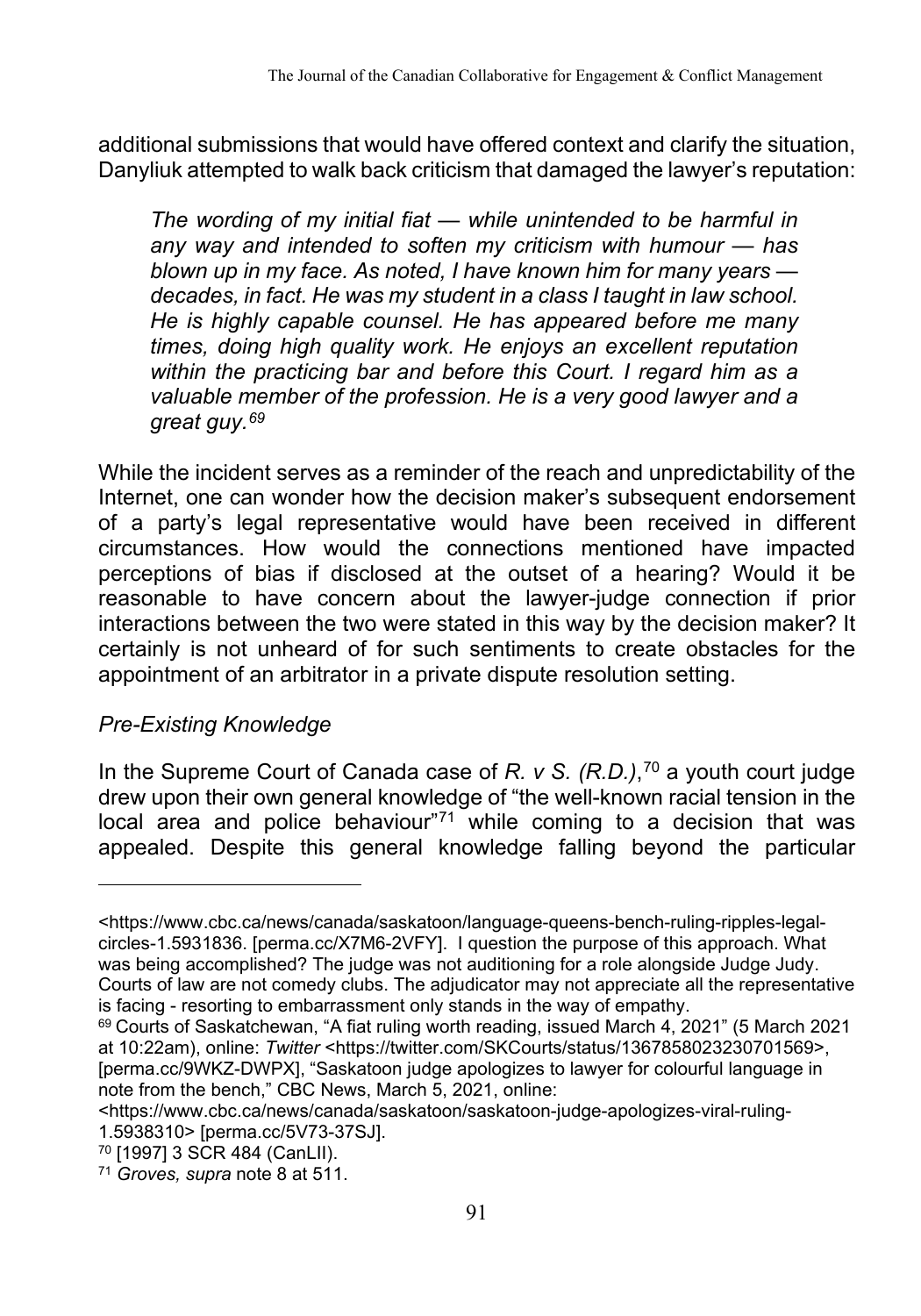additional submissions that would have offered context and clarify the situation, Danyliuk attempted to walk back criticism that damaged the lawyer's reputation:

*The wording of my initial fiat — while unintended to be harmful in any way and intended to soften my criticism with humour — has blown up in my face. As noted, I have known him for many years decades, in fact. He was my student in a class I taught in law school. He is highly capable counsel. He has appeared before me many times, doing high quality work. He enjoys an excellent reputation within the practicing bar and before this Court. I regard him as a valuable member of the profession. He is a very good lawyer and a great guy.69*

While the incident serves as a reminder of the reach and unpredictability of the Internet, one can wonder how the decision maker's subsequent endorsement of a party's legal representative would have been received in different circumstances. How would the connections mentioned have impacted perceptions of bias if disclosed at the outset of a hearing? Would it be reasonable to have concern about the lawyer-judge connection if prior interactions between the two were stated in this way by the decision maker? It certainly is not unheard of for such sentiments to create obstacles for the appointment of an arbitrator in a private dispute resolution setting.

## *Pre-Existing Knowledge*

In the Supreme Court of Canada case of *R. v S. (R.D.)*, <sup>70</sup> a youth court judge drew upon their own general knowledge of "the well-known racial tension in the local area and police behaviour"71 while coming to a decision that was appealed. Despite this general knowledge falling beyond the particular

<sup>&</sup>lt;https://www.cbc.ca/news/canada/saskatoon/language-queens-bench-ruling-ripples-legalcircles-1.5931836. [perma.cc/X7M6-2VFY]. I question the purpose of this approach. What was being accomplished? The judge was not auditioning for a role alongside Judge Judy. Courts of law are not comedy clubs. The adjudicator may not appreciate all the representative is facing - resorting to embarrassment only stands in the way of empathy.

 $69$  Courts of Saskatchewan, "A fiat ruling worth reading, issued March 4, 2021" (5 March 2021 at 10:22am), online: *Twitter* <https://twitter.com/SKCourts/status/1367858023230701569>, [perma.cc/9WKZ-DWPX], "Saskatoon judge apologizes to lawyer for colourful language in note from the bench," CBC News, March 5, 2021, online:

<sup>&</sup>lt;https://www.cbc.ca/news/canada/saskatoon/saskatoon-judge-apologizes-viral-ruling-1.5938310> [perma.cc/5V73-37SJ].

<sup>70</sup> [1997] 3 SCR 484 (CanLII).

<sup>71</sup> *Groves, supra* note 8 at 511.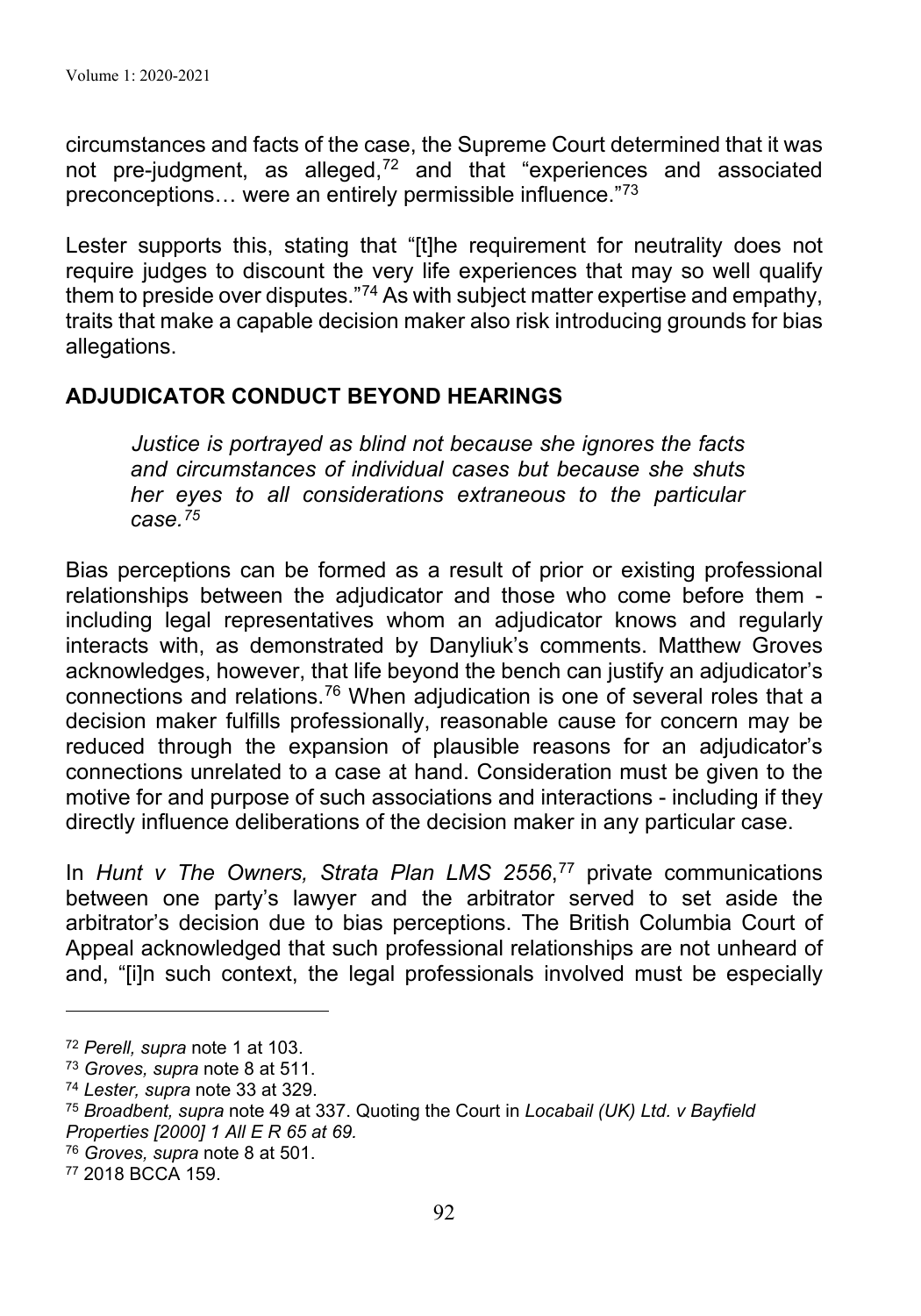circumstances and facts of the case, the Supreme Court determined that it was not pre-judgment, as alleged,<sup>72</sup> and that "experiences and associated preconceptions… were an entirely permissible influence."73

Lester supports this, stating that "[t]he requirement for neutrality does not require judges to discount the very life experiences that may so well qualify them to preside over disputes."74 As with subject matter expertise and empathy, traits that make a capable decision maker also risk introducing grounds for bias allegations.

## **ADJUDICATOR CONDUCT BEYOND HEARINGS**

*Justice is portrayed as blind not because she ignores the facts and circumstances of individual cases but because she shuts her eyes to all considerations extraneous to the particular case.75*

Bias perceptions can be formed as a result of prior or existing professional relationships between the adjudicator and those who come before them including legal representatives whom an adjudicator knows and regularly interacts with, as demonstrated by Danyliuk's comments. Matthew Groves acknowledges, however, that life beyond the bench can justify an adjudicator's connections and relations. <sup>76</sup> When adjudication is one of several roles that a decision maker fulfills professionally, reasonable cause for concern may be reduced through the expansion of plausible reasons for an adjudicator's connections unrelated to a case at hand. Consideration must be given to the motive for and purpose of such associations and interactions - including if they directly influence deliberations of the decision maker in any particular case.

In *Hunt v The Owners, Strata Plan LMS 2556*, <sup>77</sup> private communications between one party's lawyer and the arbitrator served to set aside the arbitrator's decision due to bias perceptions. The British Columbia Court of Appeal acknowledged that such professional relationships are not unheard of and, "[i]n such context, the legal professionals involved must be especially

<sup>72</sup> *Perell, supra* note 1 at 103.

<sup>73</sup> *Groves, supra* note 8 at 511.

<sup>74</sup> *Lester, supra* note 33 at 329.

<sup>75</sup> *Broadbent, supra* note 49 at 337. Quoting the Court in *Locabail (UK) Ltd. v Bayfield Properties [2000] 1 All E R 65 at 69.*

<sup>76</sup> *Groves, supra* note 8 at 501.

<sup>77</sup> 2018 BCCA 159.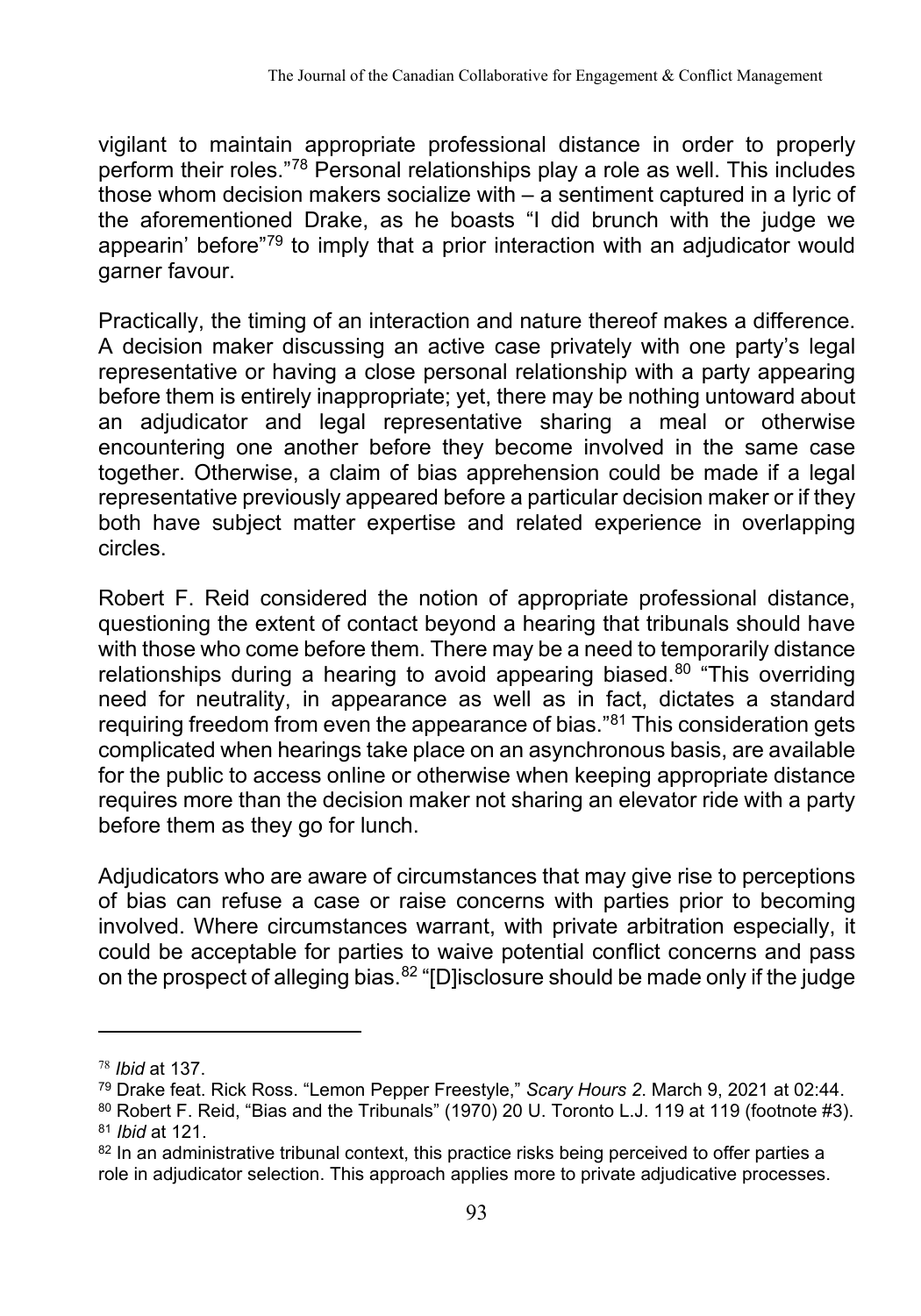vigilant to maintain appropriate professional distance in order to properly perform their roles."78 Personal relationships play a role as well. This includes those whom decision makers socialize with  $-\frac{1}{2}$  sentiment captured in a lyric of the aforementioned Drake, as he boasts "I did brunch with the judge we appearin' before"79 to imply that a prior interaction with an adjudicator would garner favour.

Practically, the timing of an interaction and nature thereof makes a difference. A decision maker discussing an active case privately with one party's legal representative or having a close personal relationship with a party appearing before them is entirely inappropriate; yet, there may be nothing untoward about an adjudicator and legal representative sharing a meal or otherwise encountering one another before they become involved in the same case together. Otherwise, a claim of bias apprehension could be made if a legal representative previously appeared before a particular decision maker or if they both have subject matter expertise and related experience in overlapping circles.

Robert F. Reid considered the notion of appropriate professional distance, questioning the extent of contact beyond a hearing that tribunals should have with those who come before them. There may be a need to temporarily distance relationships during a hearing to avoid appearing biased.<sup>80</sup> "This overriding need for neutrality, in appearance as well as in fact, dictates a standard requiring freedom from even the appearance of bias."81 This consideration gets complicated when hearings take place on an asynchronous basis, are available for the public to access online or otherwise when keeping appropriate distance requires more than the decision maker not sharing an elevator ride with a party before them as they go for lunch.

Adjudicators who are aware of circumstances that may give rise to perceptions of bias can refuse a case or raise concerns with parties prior to becoming involved. Where circumstances warrant, with private arbitration especially, it could be acceptable for parties to waive potential conflict concerns and pass on the prospect of alleging bias.<sup>82</sup> "[D]isclosure should be made only if the judge

<sup>78</sup> *Ibid* at 137.

<sup>79</sup> Drake feat. Rick Ross. "Lemon Pepper Freestyle," *Scary Hours 2*. March 9, 2021 at 02:44.

<sup>80</sup> Robert F. Reid, "Bias and the Tribunals" (1970) 20 U. Toronto L.J. 119 at 119 (footnote #3). <sup>81</sup> *Ibid* at 121.

 $82$  In an administrative tribunal context, this practice risks being perceived to offer parties a role in adjudicator selection. This approach applies more to private adjudicative processes.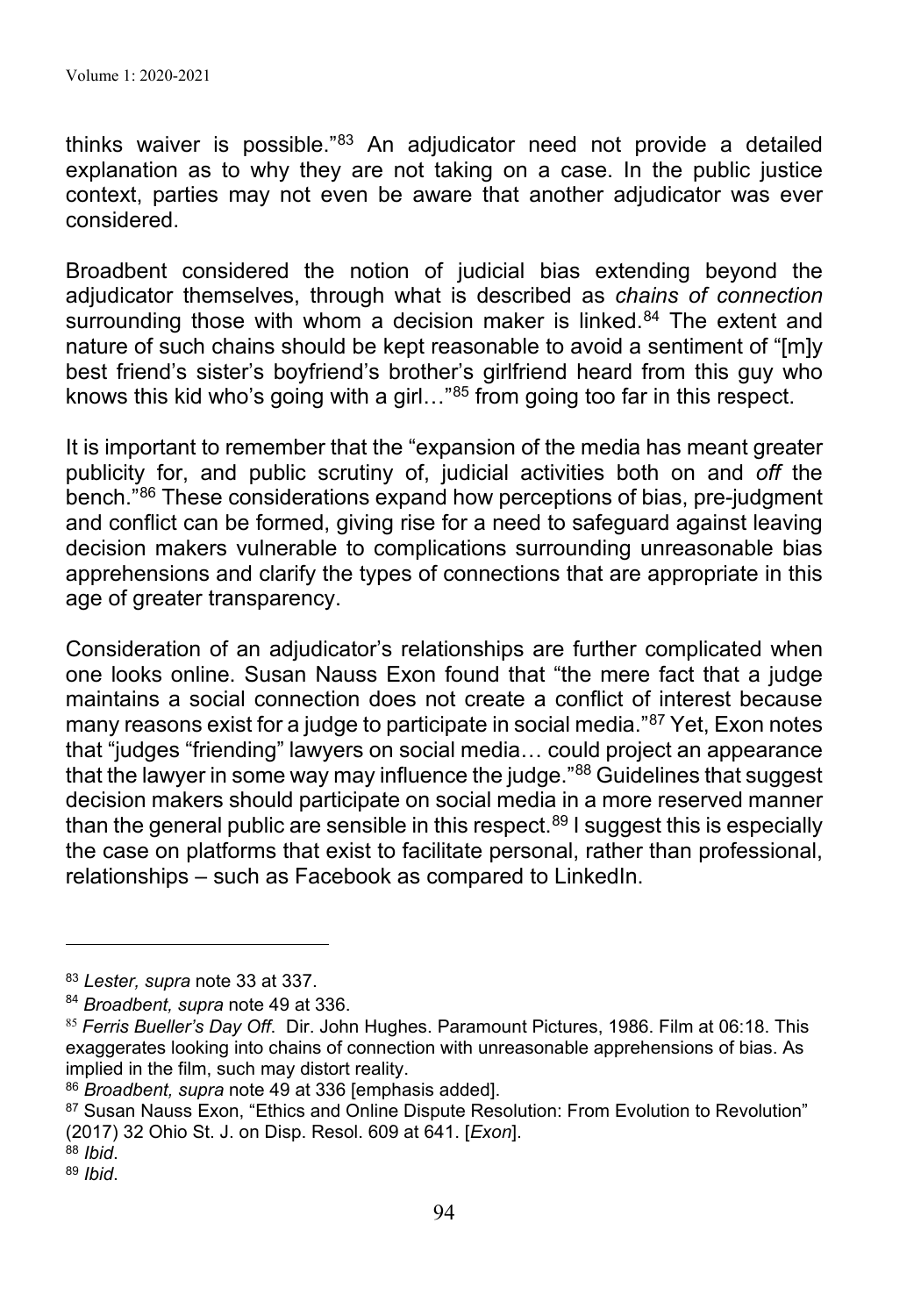thinks waiver is possible."83 An adjudicator need not provide a detailed explanation as to why they are not taking on a case. In the public justice context, parties may not even be aware that another adjudicator was ever considered.

Broadbent considered the notion of judicial bias extending beyond the adjudicator themselves, through what is described as *chains of connection* surrounding those with whom a decision maker is linked. 84 The extent and nature of such chains should be kept reasonable to avoid a sentiment of "[m]y best friend's sister's boyfriend's brother's girlfriend heard from this guy who knows this kid who's going with a girl…"85 from going too far in this respect.

It is important to remember that the "expansion of the media has meant greater publicity for, and public scrutiny of, judicial activities both on and *off* the bench."86 These considerations expand how perceptions of bias, pre-judgment and conflict can be formed, giving rise for a need to safeguard against leaving decision makers vulnerable to complications surrounding unreasonable bias apprehensions and clarify the types of connections that are appropriate in this age of greater transparency.

Consideration of an adjudicator's relationships are further complicated when one looks online. Susan Nauss Exon found that "the mere fact that a judge maintains a social connection does not create a conflict of interest because many reasons exist for a judge to participate in social media."<sup>87</sup> Yet, Exon notes that "judges "friending" lawyers on social media… could project an appearance that the lawyer in some way may influence the judge."<sup>88</sup> Guidelines that suggest decision makers should participate on social media in a more reserved manner than the general public are sensible in this respect. <sup>89</sup> I suggest this is especially the case on platforms that exist to facilitate personal, rather than professional, relationships – such as Facebook as compared to LinkedIn.

<sup>83</sup> *Lester, supra* note 33 at 337.

<sup>84</sup> *Broadbent, supra* note 49 at 336.

<sup>85</sup> *Ferris Bueller's Day Off*. Dir. John Hughes. Paramount Pictures, 1986. Film at 06:18. This exaggerates looking into chains of connection with unreasonable apprehensions of bias. As implied in the film, such may distort reality.

<sup>86</sup> *Broadbent, supra* note 49 at 336 [emphasis added].

<sup>87</sup> Susan Nauss Exon, "Ethics and Online Dispute Resolution: From Evolution to Revolution" (2017) 32 Ohio St. J. on Disp. Resol. 609 at 641. [*Exon*].

<sup>88</sup> *Ibid*. 89 *Ibid*.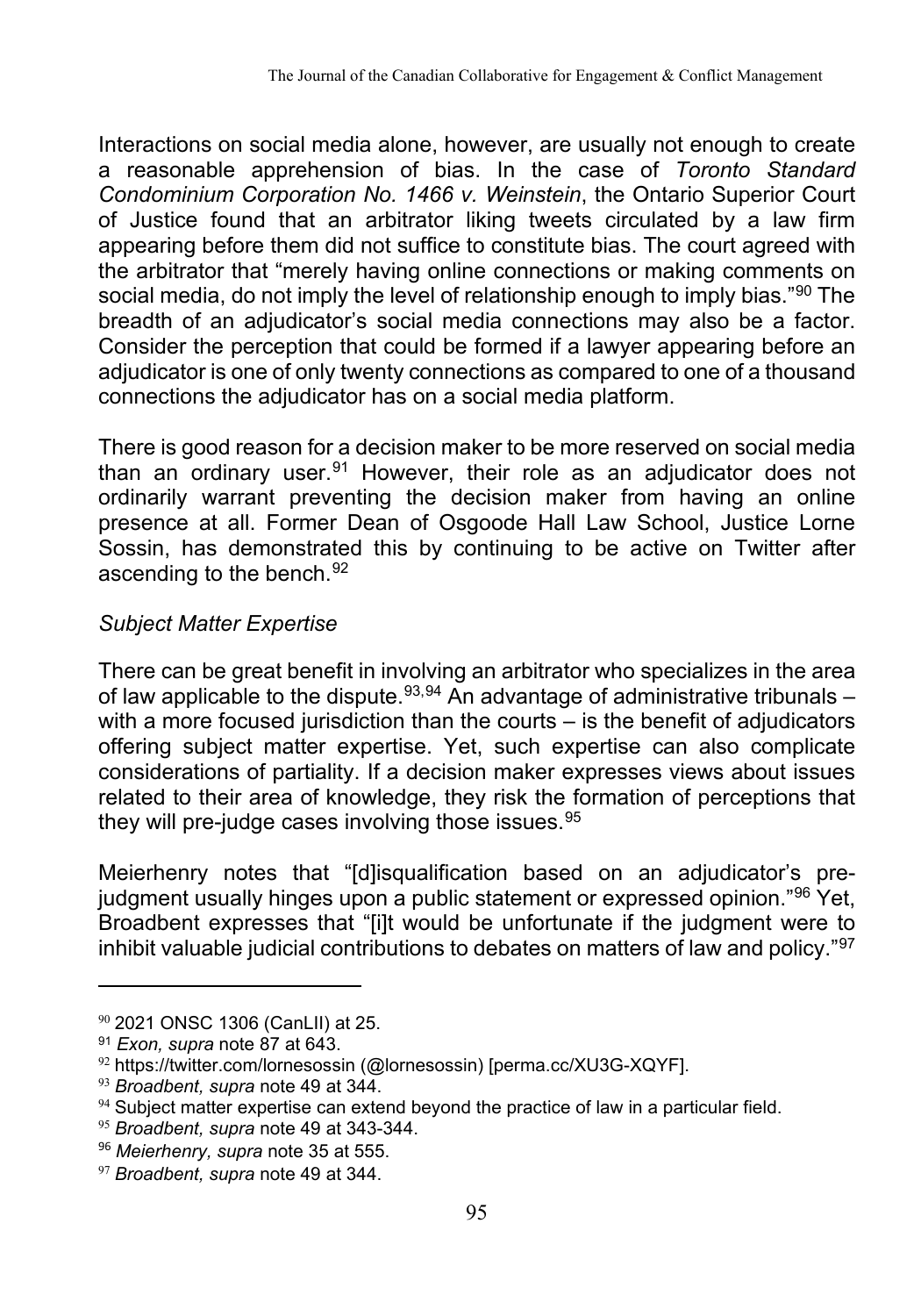Interactions on social media alone, however, are usually not enough to create a reasonable apprehension of bias. In the case of *Toronto Standard Condominium Corporation No. 1466 v. Weinstein*, the Ontario Superior Court of Justice found that an arbitrator liking tweets circulated by a law firm appearing before them did not suffice to constitute bias. The court agreed with the arbitrator that "merely having online connections or making comments on social media, do not imply the level of relationship enough to imply bias."<sup>90</sup> The breadth of an adjudicator's social media connections may also be a factor. Consider the perception that could be formed if a lawyer appearing before an adjudicator is one of only twenty connections as compared to one of a thousand connections the adjudicator has on a social media platform.

There is good reason for a decision maker to be more reserved on social media than an ordinary user.91 However, their role as an adjudicator does not ordinarily warrant preventing the decision maker from having an online presence at all. Former Dean of Osgoode Hall Law School, Justice Lorne Sossin, has demonstrated this by continuing to be active on Twitter after ascending to the bench. 92

## *Subject Matter Expertise*

There can be great benefit in involving an arbitrator who specializes in the area of law applicable to the dispute.<sup>93,94</sup> An advantage of administrative tribunals – with a more focused jurisdiction than the courts – is the benefit of adjudicators offering subject matter expertise. Yet, such expertise can also complicate considerations of partiality. If a decision maker expresses views about issues related to their area of knowledge, they risk the formation of perceptions that they will pre-judge cases involving those issues.<sup>95</sup>

Meierhenry notes that "[d]isqualification based on an adjudicator's prejudgment usually hinges upon a public statement or expressed opinion."96 Yet, Broadbent expresses that "[i]t would be unfortunate if the judgment were to inhibit valuable judicial contributions to debates on matters of law and policy."97

 $90$  2021 ONSC 1306 (CanLII) at 25.

<sup>91</sup> *Exon, supra* note 87 at 643.

 $92$  https://twitter.com/lornesossin (@lornesossin) [perma.cc/XU3G-XQYF].

<sup>93</sup> *Broadbent, supra* note 49 at 344.

 $94$  Subject matter expertise can extend beyond the practice of law in a particular field.

<sup>95</sup> *Broadbent, supra* note 49 at 343-344.

<sup>96</sup> *Meierhenry, supra* note 35 at 555.

<sup>97</sup> *Broadbent, supra* note 49 at 344.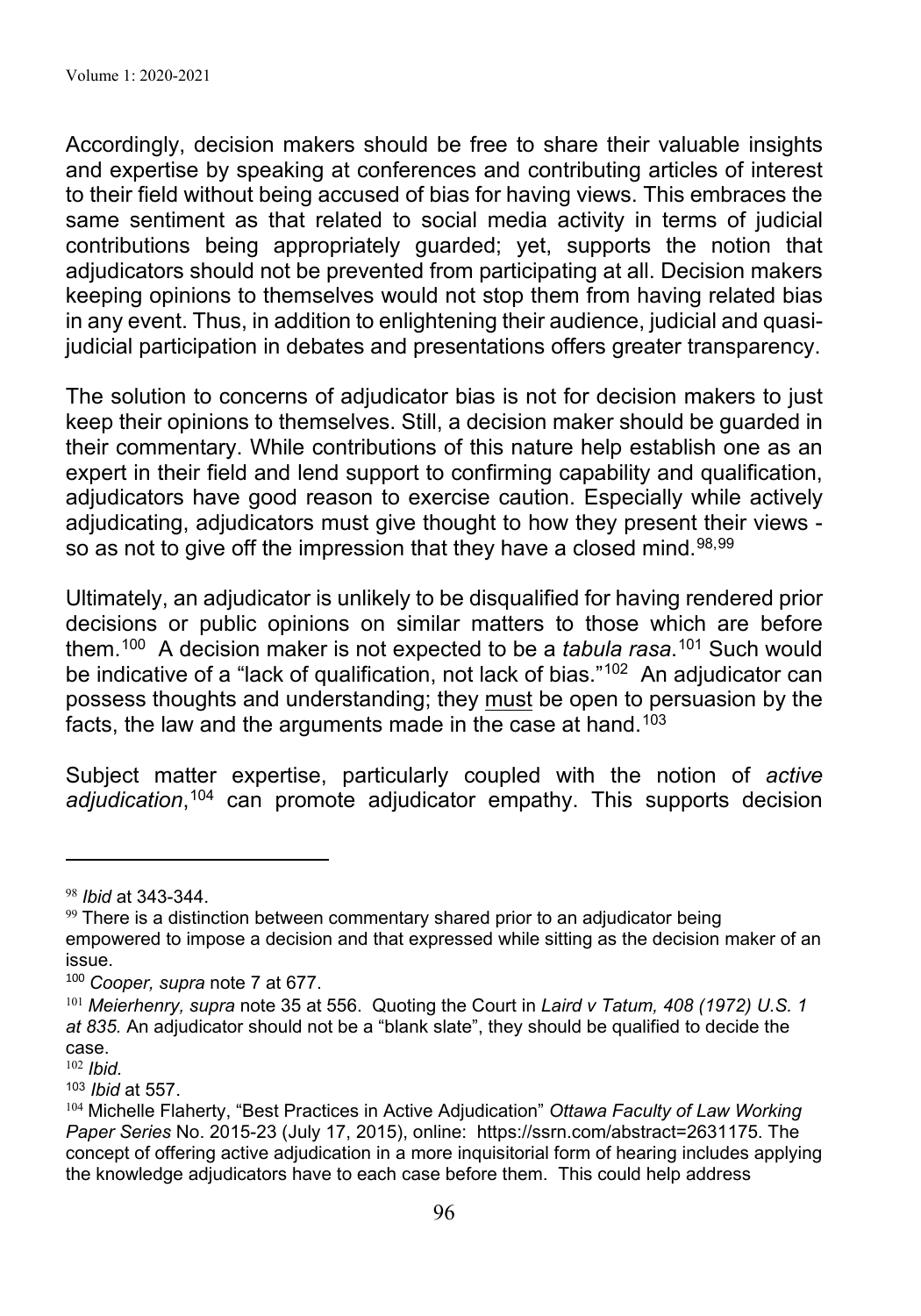Accordingly, decision makers should be free to share their valuable insights and expertise by speaking at conferences and contributing articles of interest to their field without being accused of bias for having views. This embraces the same sentiment as that related to social media activity in terms of judicial contributions being appropriately guarded; yet, supports the notion that adjudicators should not be prevented from participating at all. Decision makers keeping opinions to themselves would not stop them from having related bias in any event. Thus, in addition to enlightening their audience, judicial and quasijudicial participation in debates and presentations offers greater transparency.

The solution to concerns of adjudicator bias is not for decision makers to just keep their opinions to themselves. Still, a decision maker should be guarded in their commentary. While contributions of this nature help establish one as an expert in their field and lend support to confirming capability and qualification, adjudicators have good reason to exercise caution. Especially while actively adjudicating, adjudicators must give thought to how they present their views so as not to give off the impression that they have a closed mind. 98,99

Ultimately, an adjudicator is unlikely to be disqualified for having rendered prior decisions or public opinions on similar matters to those which are before them.100 A decision maker is not expected to be a *tabula rasa*. 101 Such would be indicative of a "lack of qualification, not lack of bias."<sup>102</sup> An adjudicator can possess thoughts and understanding; they must be open to persuasion by the facts, the law and the arguments made in the case at hand. $^{103}$ 

Subject matter expertise, particularly coupled with the notion of *active adjudication*, <sup>104</sup> can promote adjudicator empathy. This supports decision

<sup>98</sup> *Ibid* at 343-344.

 $99$  There is a distinction between commentary shared prior to an adjudicator being empowered to impose a decision and that expressed while sitting as the decision maker of an issue.

<sup>100</sup> *Cooper, supra* note 7 at 677.

<sup>101</sup> *Meierhenry, supra* note 35 at 556. Quoting the Court in *Laird v Tatum, 408 (1972) U.S. 1 at 835.* An adjudicator should not be a "blank slate", they should be qualified to decide the case.

<sup>102</sup> *Ibid.*

<sup>103</sup> *Ibid* at 557.

<sup>104</sup> Michelle Flaherty, "Best Practices in Active Adjudication" *Ottawa Faculty of Law Working Paper Series* No. 2015-23 (July 17, 2015), online: https://ssrn.com/abstract=2631175. The concept of offering active adjudication in a more inquisitorial form of hearing includes applying the knowledge adjudicators have to each case before them. This could help address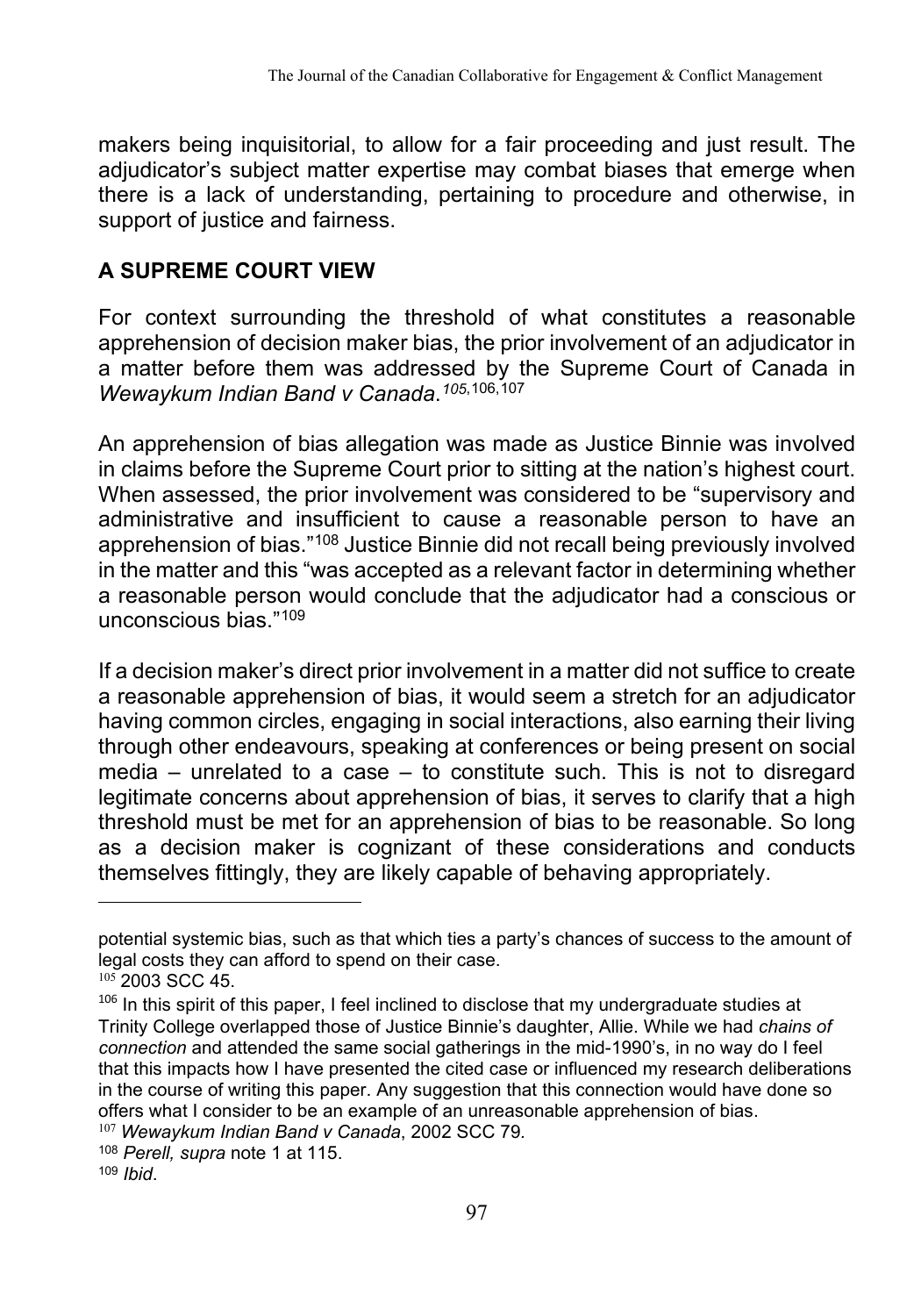makers being inquisitorial, to allow for a fair proceeding and just result. The adjudicator's subject matter expertise may combat biases that emerge when there is a lack of understanding, pertaining to procedure and otherwise, in support of justice and fairness.

## **A SUPREME COURT VIEW**

For context surrounding the threshold of what constitutes a reasonable apprehension of decision maker bias, the prior involvement of an adjudicator in a matter before them was addressed by the Supreme Court of Canada in *Wewaykum Indian Band v Canada*.*<sup>105</sup>*,106,107

An apprehension of bias allegation was made as Justice Binnie was involved in claims before the Supreme Court prior to sitting at the nation's highest court. When assessed, the prior involvement was considered to be "supervisory and administrative and insufficient to cause a reasonable person to have an apprehension of bias."108 Justice Binnie did not recall being previously involved in the matter and this "was accepted as a relevant factor in determining whether a reasonable person would conclude that the adjudicator had a conscious or unconscious bias."<sup>109</sup>

If a decision maker's direct prior involvement in a matter did not suffice to create a reasonable apprehension of bias, it would seem a stretch for an adjudicator having common circles, engaging in social interactions, also earning their living through other endeavours, speaking at conferences or being present on social media – unrelated to a case – to constitute such. This is not to disregard legitimate concerns about apprehension of bias, it serves to clarify that a high threshold must be met for an apprehension of bias to be reasonable. So long as a decision maker is cognizant of these considerations and conducts themselves fittingly, they are likely capable of behaving appropriately.

potential systemic bias, such as that which ties a party's chances of success to the amount of legal costs they can afford to spend on their case.

 $105$  2003 SCC 45.

 $106$  In this spirit of this paper, I feel inclined to disclose that my undergraduate studies at Trinity College overlapped those of Justice Binnie's daughter, Allie. While we had *chains of connection* and attended the same social gatherings in the mid-1990's, in no way do I feel that this impacts how I have presented the cited case or influenced my research deliberations in the course of writing this paper. Any suggestion that this connection would have done so offers what I consider to be an example of an unreasonable apprehension of bias.

<sup>107</sup> *Wewaykum Indian Band v Canada*, 2002 SCC 79*.*

<sup>108</sup> *Perell, supra* note 1 at 115. <sup>109</sup> *Ibid*.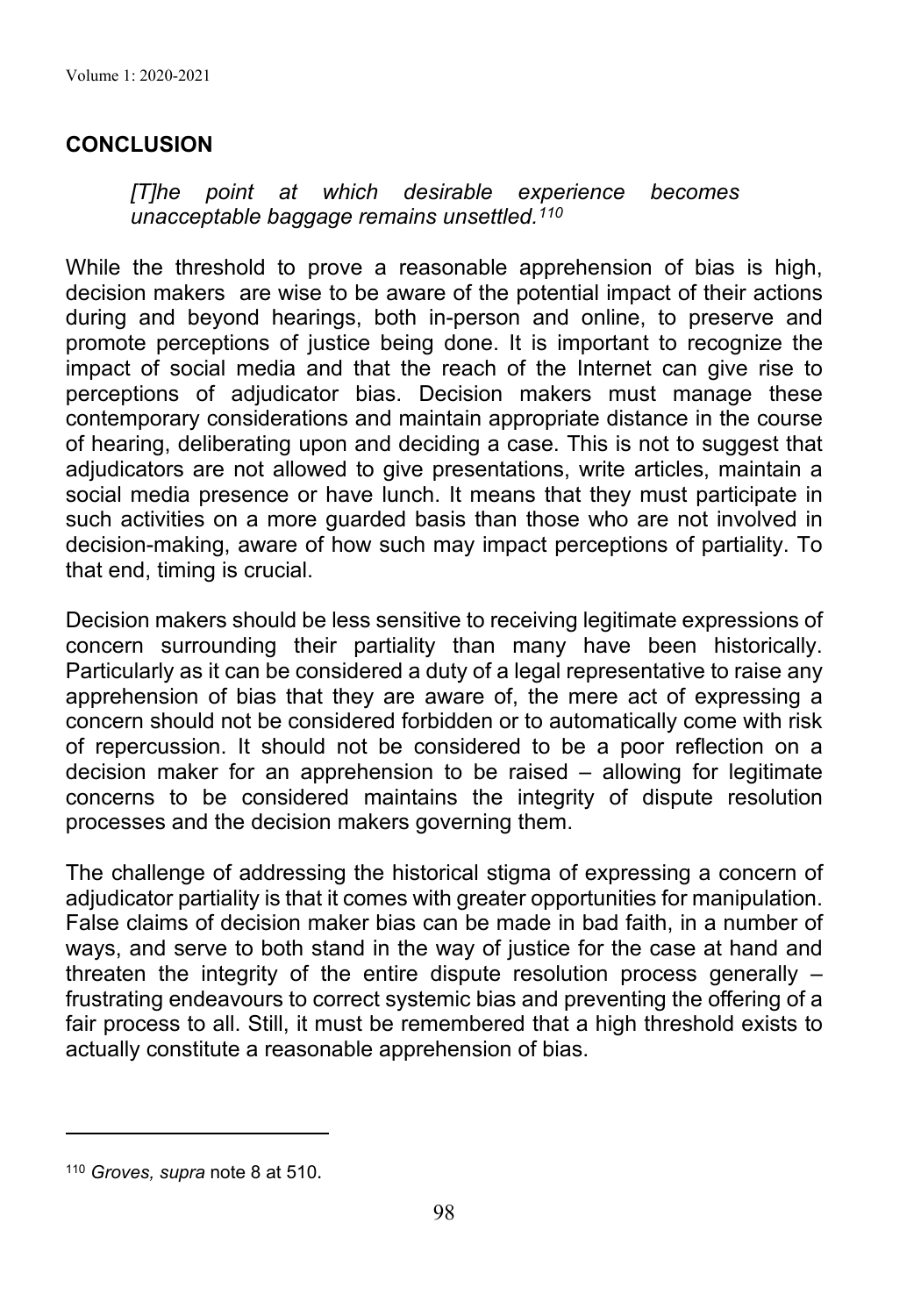#### **CONCLUSION**

*[T]he point at which desirable experience becomes unacceptable baggage remains unsettled.110* 

While the threshold to prove a reasonable apprehension of bias is high, decision makers are wise to be aware of the potential impact of their actions during and beyond hearings, both in-person and online, to preserve and promote perceptions of justice being done. It is important to recognize the impact of social media and that the reach of the Internet can give rise to perceptions of adjudicator bias. Decision makers must manage these contemporary considerations and maintain appropriate distance in the course of hearing, deliberating upon and deciding a case. This is not to suggest that adjudicators are not allowed to give presentations, write articles, maintain a social media presence or have lunch. It means that they must participate in such activities on a more quarded basis than those who are not involved in decision-making, aware of how such may impact perceptions of partiality. To that end, timing is crucial.

Decision makers should be less sensitive to receiving legitimate expressions of concern surrounding their partiality than many have been historically. Particularly as it can be considered a duty of a legal representative to raise any apprehension of bias that they are aware of, the mere act of expressing a concern should not be considered forbidden or to automatically come with risk of repercussion. It should not be considered to be a poor reflection on a decision maker for an apprehension to be raised – allowing for legitimate concerns to be considered maintains the integrity of dispute resolution processes and the decision makers governing them.

The challenge of addressing the historical stigma of expressing a concern of adjudicator partiality is that it comes with greater opportunities for manipulation. False claims of decision maker bias can be made in bad faith, in a number of ways, and serve to both stand in the way of justice for the case at hand and threaten the integrity of the entire dispute resolution process generally – frustrating endeavours to correct systemic bias and preventing the offering of a fair process to all. Still, it must be remembered that a high threshold exists to actually constitute a reasonable apprehension of bias.

<sup>110</sup> *Groves, supra* note 8 at 510.